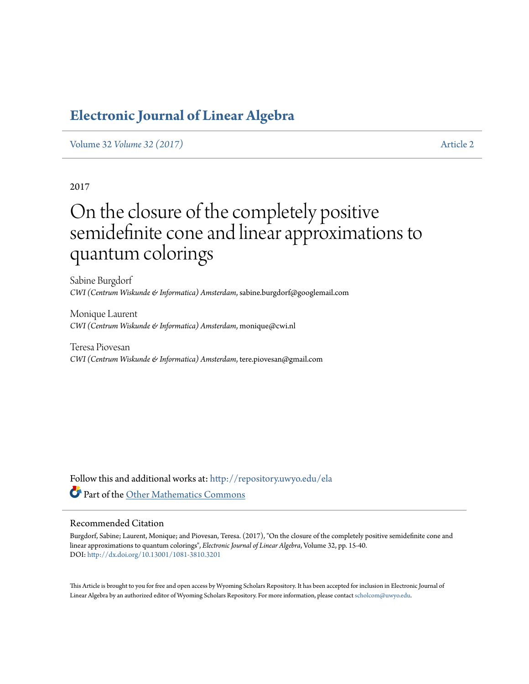### <span id="page-0-0"></span>**[Electronic Journal of Linear Algebra](http://repository.uwyo.edu/ela?utm_source=repository.uwyo.edu%2Fela%2Fvol32%2Fiss%2F2&utm_medium=PDF&utm_campaign=PDFCoverPages)**

Volume 32 *[Volume 32 \(2017\)](http://repository.uwyo.edu/ela/vol32?utm_source=repository.uwyo.edu%2Fela%2Fvol32%2Fiss%2F2&utm_medium=PDF&utm_campaign=PDFCoverPages)* [Article 2](http://repository.uwyo.edu/ela/vol32/iss/2?utm_source=repository.uwyo.edu%2Fela%2Fvol32%2Fiss%2F2&utm_medium=PDF&utm_campaign=PDFCoverPages)

2017

# On the closure of the completely positive semidefinite cone and linear approximations to quantum colorings

Sabine Burgdorf *CWI (Centrum Wiskunde & Informatica) Amsterdam*, sabine.burgdorf@googlemail.com

Monique Laurent *CWI (Centrum Wiskunde & Informatica) Amsterdam*, monique@cwi.nl

Teresa Piovesan *CWI (Centrum Wiskunde & Informatica) Amsterdam*, tere.piovesan@gmail.com

Follow this and additional works at: [http://repository.uwyo.edu/ela](http://repository.uwyo.edu/ela?utm_source=repository.uwyo.edu%2Fela%2Fvol32%2Fiss%2F2&utm_medium=PDF&utm_campaign=PDFCoverPages) Part of the [Other Mathematics Commons](http://network.bepress.com/hgg/discipline/185?utm_source=repository.uwyo.edu%2Fela%2Fvol32%2Fiss%2F2&utm_medium=PDF&utm_campaign=PDFCoverPages)

### Recommended Citation

Burgdorf, Sabine; Laurent, Monique; and Piovesan, Teresa. (2017), "On the closure of the completely positive semidefinite cone and linear approximations to quantum colorings", *Electronic Journal of Linear Algebra*, Volume 32, pp. 15-40. DOI: <http://dx.doi.org/10.13001/1081-3810.3201>

This Article is brought to you for free and open access by Wyoming Scholars Repository. It has been accepted for inclusion in Electronic Journal of Linear Algebra by an authorized editor of Wyoming Scholars Repository. For more information, please contact [scholcom@uwyo.edu](mailto:scholcom@uwyo.edu).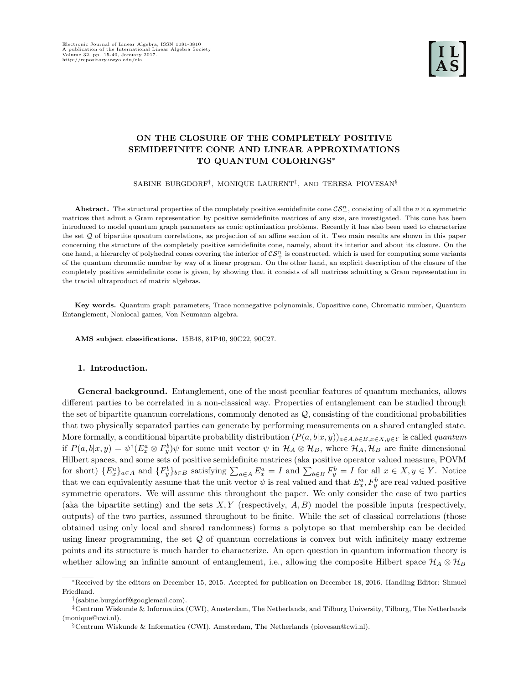### ON THE CLOSURE OF THE COMPLETELY POSITIVE SEMIDEFINITE CONE AND LINEAR APPROXIMATIONS TO QUANTUM COLORINGS<sup>∗</sup>

SABINE BURGDORF† , MONIQUE LAURENT‡ , AND TERESA PIOVESAN§

**Abstract.** The structural properties of the completely positive semidefinite cone  $\mathcal{CS}_{+}^n$ , consisting of all the  $n \times n$  symmetric matrices that admit a Gram representation by positive semidefinite matrices of any size, are investigated. This cone has been introduced to model quantum graph parameters as conic optimization problems. Recently it has also been used to characterize the set Q of bipartite quantum correlations, as projection of an affine section of it. Two main results are shown in this paper concerning the structure of the completely positive semidefinite cone, namely, about its interior and about its closure. On the one hand, a hierarchy of polyhedral cones covering the interior of  $\mathcal{CS}_+^n$  is constructed, which is used for computing some variants of the quantum chromatic number by way of a linear program. On the other hand, an explicit description of the closure of the completely positive semidefinite cone is given, by showing that it consists of all matrices admitting a Gram representation in the tracial ultraproduct of matrix algebras.

Key words. Quantum graph parameters, Trace nonnegative polynomials, Copositive cone, Chromatic number, Quantum Entanglement, Nonlocal games, Von Neumann algebra.

AMS subject classifications. 15B48, 81P40, 90C22, 90C27.

### 1. Introduction.

General background. Entanglement, one of the most peculiar features of quantum mechanics, allows different parties to be correlated in a non-classical way. Properties of entanglement can be studied through the set of bipartite quantum correlations, commonly denoted as  $Q$ , consisting of the conditional probabilities that two physically separated parties can generate by performing measurements on a shared entangled state. More formally, a conditional bipartite probability distribution  $(P(a, b|x, y))_{a \in A, b \in B, x \in X, y \in Y}$  is called *quantum* if  $P(a,b|x,y) = \psi^{\dagger}(E_x^a \otimes F_y^b) \psi$  for some unit vector  $\psi$  in  $\mathcal{H}_A \otimes \mathcal{H}_B$ , where  $\mathcal{H}_A, \mathcal{H}_B$  are finite dimensional Hilbert spaces, and some sets of positive semidefinite matrices (aka positive operator valued measure, POVM for short)  $\{E_x^a\}_{a\in A}$  and  $\{F_y^b\}_{b\in B}$  satisfying  $\sum_{a\in A} E_x^a = I$  and  $\sum_{b\in B} F_y^b = I$  for all  $x \in X, y \in Y$ . Notice that we can equivalently assume that the unit vector  $\psi$  is real valued and that  $E_x^a, F_y^b$  are real valued positive symmetric operators. We will assume this throughout the paper. We only consider the case of two parties (aka the bipartite setting) and the sets  $X, Y$  (respectively,  $A, B$ ) model the possible inputs (respectively, outputs) of the two parties, assumed throughout to be finite. While the set of classical correlations (those obtained using only local and shared randomness) forms a polytope so that membership can be decided using linear programming, the set  $Q$  of quantum correlations is convex but with infinitely many extreme points and its structure is much harder to characterize. An open question in quantum information theory is whether allowing an infinite amount of entanglement, i.e., allowing the composite Hilbert space  $\mathcal{H}_A \otimes \mathcal{H}_B$ 

<sup>∗</sup>Received by the editors on December 15, 2015. Accepted for publication on December 18, 2016. Handling Editor: Shmuel Friedland.

<sup>†</sup> (sabine.burgdorf@googlemail.com).

<sup>‡</sup>Centrum Wiskunde & Informatica (CWI), Amsterdam, The Netherlands, and Tilburg University, Tilburg, The Netherlands (monique@cwi.nl).

 $\S$ Centrum Wiskunde & Informatica (CWI), Amsterdam, The Netherlands (piovesan@cwi.nl).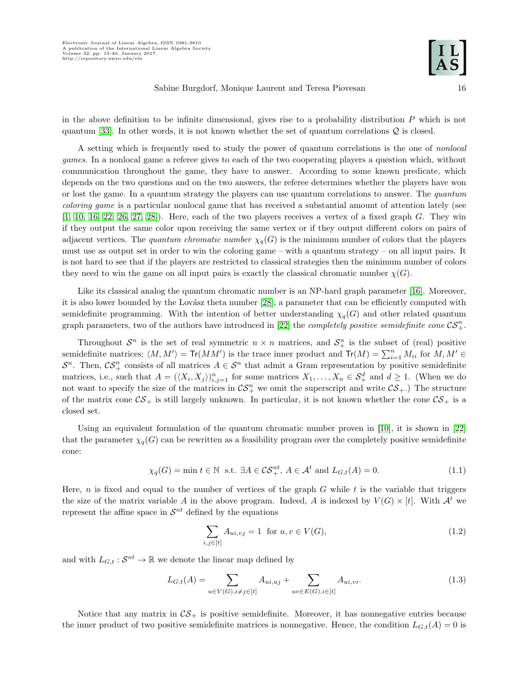in the above definition to be infinite dimensional, gives rise to a probability distribution  $P$  which is not quantum [\[33\]](#page-26-0). In other words, it is not known whether the set of quantum correlations Q is closed.

A setting which is frequently used to study the power of quantum correlations is the one of nonlocal games. In a nonlocal game a referee gives to each of the two cooperating players a question which, without communication throughout the game, they have to answer. According to some known predicate, which depends on the two questions and on the two answers, the referee determines whether the players have won or lost the game. In a quantum strategy the players can use quantum correlations to answer. The quantum coloring game is a particular nonlocal game that has received a substantial amount of attention lately (see  $[1, 10, 16, 22, 26, 27, 28]$  $[1, 10, 16, 22, 26, 27, 28]$  $[1, 10, 16, 22, 26, 27, 28]$  $[1, 10, 16, 22, 26, 27, 28]$  $[1, 10, 16, 22, 26, 27, 28]$  $[1, 10, 16, 22, 26, 27, 28]$  $[1, 10, 16, 22, 26, 27, 28]$ . Here, each of the two players receives a vertex of a fixed graph G. They win if they output the same color upon receiving the same vertex or if they output different colors on pairs of adjacent vertices. The quantum chromatic number  $\chi_q(G)$  is the minimum number of colors that the players must use as output set in order to win the coloring game – with a quantum strategy – on all input pairs. It is not hard to see that if the players are restricted to classical strategies then the minimum number of colors they need to win the game on all input pairs is exactly the classical chromatic number  $\chi(G)$ .

Like its classical analog the quantum chromatic number is an NP-hard graph parameter [\[16\]](#page-25-2). Moreover, it is also lower bounded by the Lovász theta number [\[28\]](#page-26-2), a parameter that can be efficiently computed with semidefinite programming. With the intention of better understanding  $\chi_q(G)$  and other related quantum graph parameters, two of the authors have introduced in [\[22\]](#page-25-3) the *completely positive semidefinite cone*  $\mathcal{CS}_{+}^{n}$ .

Throughout  $S^n$  is the set of real symmetric  $n \times n$  matrices, and  $S^n_+$  is the subset of (real) positive semidefinite matrices;  $\langle M, M' \rangle = \text{Tr}(MM')$  is the trace inner product and  $\text{Tr}(M) = \sum_{i=1}^{n} M_{ii}$  for  $M, M' \in$  $S^n$ . Then,  $\mathcal{CS}_+^n$  consists of all matrices  $A \in \mathcal{S}^n$  that admit a Gram representation by positive semidefinite matrices, i.e., such that  $A = (\langle X_i, X_j \rangle)_{i,j=1}^n$  for some matrices  $X_1, \ldots, X_n \in S_+^d$  and  $d \geq 1$ . (When we do not want to specify the size of the matrices in  $\mathcal{CS}_{+}^n$  we omit the superscript and write  $\mathcal{CS}_{+}$ .) The structure of the matrix cone  $CS_+$  is still largely unknown. In particular, it is not known whether the cone  $CS_+$  is a closed set.

Using an equivalent formulation of the quantum chromatic number proven in [\[10\]](#page-25-1), it is shown in [\[22\]](#page-25-3) that the parameter  $\chi_q(G)$  can be rewritten as a feasibility program over the completely positive semidefinite cone:

<span id="page-2-1"></span>
$$
\chi_q(G) = \min t \in \mathbb{N} \text{ s.t. } \exists A \in \mathcal{CS}_+^{nt}, A \in \mathcal{A}^t \text{ and } L_{G,t}(A) = 0.
$$
 (1.1)

Here, n is fixed and equal to the number of vertices of the graph  $G$  while t is the variable that triggers the size of the matrix variable A in the above program. Indeed, A is indexed by  $V(G) \times [t]$ . With  $\mathcal{A}^t$  we represent the affine space in  $\mathcal{S}^{nt}$  defined by the equations

<span id="page-2-2"></span>
$$
\sum_{i,j \in [t]} A_{ui,vj} = 1 \text{ for } u, v \in V(G), \tag{1.2}
$$

and with  $L_{G,t}: \mathcal{S}^{nt} \to \mathbb{R}$  we denote the linear map defined by

<span id="page-2-0"></span>
$$
L_{G,t}(A) = \sum_{u \in V(G), i \neq j \in [t]} A_{ui,uj} + \sum_{uv \in E(G), i \in [t]} A_{ui,vi}.
$$
\n(1.3)

Notice that any matrix in  $\mathcal{CS}_+$  is positive semidefinite. Moreover, it has nonnegative entries because the inner product of two positive semidefinite matrices is nonnegative. Hence, the condition  $L_{G,t}(A) = 0$  is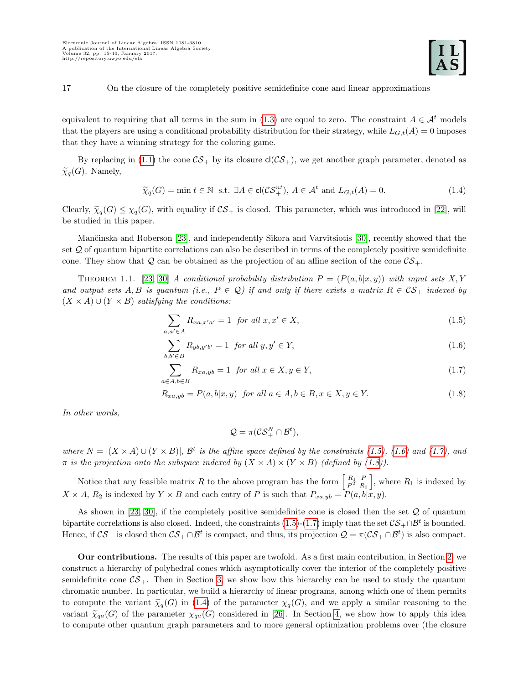equivalent to requiring that all terms in the sum in [\(1.3\)](#page-2-0) are equal to zero. The constraint  $A \in \mathcal{A}^t$  models that the players are using a conditional probability distribution for their strategy, while  $L_{G,t}(A) = 0$  imposes that they have a winning strategy for the coloring game.

By replacing in [\(1.1\)](#page-2-1) the cone  $\mathcal{CS}_+$  by its closure  $cl(\mathcal{CS}_+)$ , we get another graph parameter, denoted as  $\widetilde{\chi}_q(G)$ . Namely,

<span id="page-3-4"></span>
$$
\widetilde{\chi}_q(G) = \min t \in \mathbb{N} \text{ s.t. } \exists A \in \text{cl}(\mathcal{CS}_+^{nt}), A \in \mathcal{A}^t \text{ and } L_{G,t}(A) = 0.
$$
\n(1.4)

Clearly,  $\tilde{\chi}_q(G) \leq \chi_q(G)$ , with equality if  $\mathcal{CS}_+$  is closed. This parameter, which was introduced in [\[22\]](#page-25-3), will be studied in this paper.

Mančinska and Roberson [\[23\]](#page-25-5), and independently Sikora and Varvitsiotis [\[30\]](#page-26-3), recently showed that the set Q of quantum bipartite correlations can also be described in terms of the completely positive semidefinite cone. They show that Q can be obtained as the projection of an affine section of the cone  $\mathcal{CS}_+$ .

<span id="page-3-5"></span>THEOREM 1.1. [\[23,](#page-25-5) [30\]](#page-26-3) A conditional probability distribution  $P = (P(a, b|x, y))$  with input sets X, Y and output sets A, B is quantum (i.e.,  $P \in \mathcal{Q}$ ) if and only if there exists a matrix  $R \in \mathcal{CS}_+$  indexed by  $(X \times A) \cup (Y \times B)$  satisfying the conditions:

$$
\sum_{a,a'\in A} R_{xa,x'a'} = 1 \quad \text{for all } x, x' \in X,\tag{1.5}
$$

$$
\sum_{b,b' \in B} R_{yb,y'b'} = 1 \quad \text{for all } y, y' \in Y,
$$
\n
$$
(1.6)
$$

$$
\sum_{a \in A, b \in B} R_{xa, yb} = 1 \quad \text{for all } x \in X, y \in Y,\tag{1.7}
$$

$$
R_{xa,yb} = P(a,b|x,y) \text{ for all } a \in A, b \in B, x \in X, y \in Y. \tag{1.8}
$$

In other words,

<span id="page-3-3"></span><span id="page-3-2"></span><span id="page-3-1"></span><span id="page-3-0"></span>
$$
\mathcal{Q} = \pi(\mathcal{CS}_{+}^N \cap \mathcal{B}^t),
$$

where  $N = |(X \times A) \cup (Y \times B)|$ ,  $\mathcal{B}^t$  is the affine space defined by the constraints [\(1.5\)](#page-3-0), [\(1.6\)](#page-3-1) and [\(1.7\)](#page-3-2), and  $\pi$  is the projection onto the subspace indexed by  $(X \times A) \times (Y \times B)$  (defined by [\(1.8\)](#page-3-3)).

Notice that any feasible matrix R to the above program has the form  $\begin{bmatrix} R_1 & P \\ P^T & R \end{bmatrix}$  $\begin{bmatrix} R_1 & P \\ P^T & R_2 \end{bmatrix}$ , where  $R_1$  is indexed by  $X \times A$ ,  $R_2$  is indexed by  $Y \times B$  and each entry of P is such that  $P_{xa, yb} = P(a, b|x, y)$ .

As shown in [\[23,](#page-25-5) [30\]](#page-26-3), if the completely positive semidefinite cone is closed then the set  $Q$  of quantum bipartite correlations is also closed. Indeed, the constraints [\(1.5\)](#page-3-0)-[\(1.7\)](#page-3-2) imply that the set  $CS_+ \cap \mathcal{B}^t$  is bounded. Hence, if  $CS_+$  is closed then  $CS_+ \cap \mathcal{B}^t$  is compact, and thus, its projection  $\mathcal{Q} = \pi(\mathcal{CS}_+ \cap \mathcal{B}^t)$  is also compact.

Our contributions. The results of this paper are twofold. As a first main contribution, in Section [2,](#page-6-0) we construct a hierarchy of polyhedral cones which asymptotically cover the interior of the completely positive semidefinite cone  $\mathcal{CS}_+$ . Then in Section [3,](#page-11-0) we show how this hierarchy can be used to study the quantum chromatic number. In particular, we build a hierarchy of linear programs, among which one of them permits to compute the variant  $\tilde{\chi}_q(G)$  in [\(1.4\)](#page-3-4) of the parameter  $\chi_q(G)$ , and we apply a similar reasoning to the variant  $\tilde{\chi}_{qa}(G)$  of the parameter  $\chi_{qa}(G)$  considered in [\[26\]](#page-25-4). In Section [4,](#page-14-0) we show how to apply this idea to compute other quantum graph parameters and to more general optimization problems over (the closure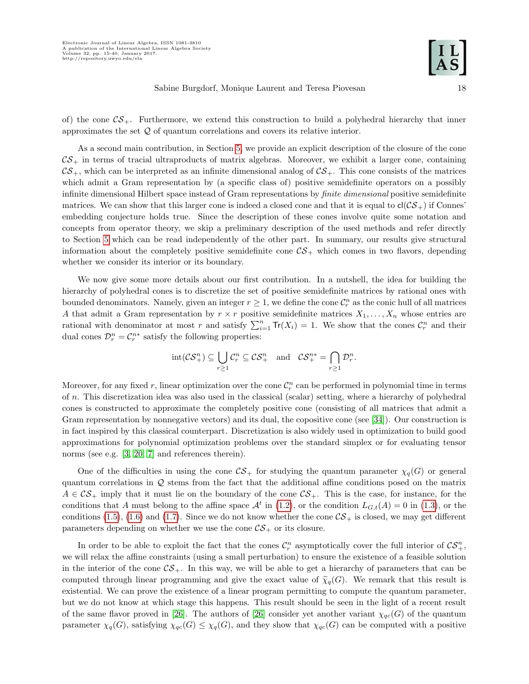of) the cone  $\mathcal{CS}_+$ . Furthermore, we extend this construction to build a polyhedral hierarchy that inner approximates the set  $Q$  of quantum correlations and covers its relative interior.

As a second main contribution, in Section [5,](#page-19-0) we provide an explicit description of the closure of the cone  $\mathcal{CS}_+$  in terms of tracial ultraproducts of matrix algebras. Moreover, we exhibit a larger cone, containing  $\mathcal{CS}_+$ , which can be interpreted as an infinite dimensional analog of  $\mathcal{CS}_+$ . This cone consists of the matrices which admit a Gram representation by (a specific class of) positive semidefinite operators on a possibly infinite dimensional Hilbert space instead of Gram representations by finite dimensional positive semidefinite matrices. We can show that this larger cone is indeed a closed cone and that it is equal to  $c(CS_+)$  if Connes' embedding conjecture holds true. Since the description of these cones involve quite some notation and concepts from operator theory, we skip a preliminary description of the used methods and refer directly to Section [5](#page-19-0) which can be read independently of the other part. In summary, our results give structural information about the completely positive semidefinite cone  $\mathcal{CS}_+$  which comes in two flavors, depending whether we consider its interior or its boundary.

We now give some more details about our first contribution. In a nutshell, the idea for building the hierarchy of polyhedral cones is to discretize the set of positive semidefinite matrices by rational ones with bounded denominators. Namely, given an integer  $r \geq 1$ , we define the cone  $\mathcal{C}_r^n$  as the conic hull of all matrices A that admit a Gram representation by  $r \times r$  positive semidefinite matrices  $X_1, \ldots, X_n$  whose entries are rational with denominator at most r and satisfy  $\sum_{i=1}^{n} Tr(X_i) = 1$ . We show that the cones  $\mathcal{C}_r^n$  and their dual cones  $\mathcal{D}_r^n = \mathcal{C}_r^{n*}$  satisfy the following properties:

$$
int(\mathcal{CS}_{+}^{n}) \subseteq \bigcup_{r \geq 1} \mathcal{C}_{r}^{n} \subseteq \mathcal{CS}_{+}^{n} \text{ and } \mathcal{CS}_{+}^{n*} = \bigcap_{r \geq 1} \mathcal{D}_{r}^{n}.
$$

Moreover, for any fixed r, linear optimization over the cone  $\mathcal{C}_r^n$  can be performed in polynomial time in terms of n. This discretization idea was also used in the classical (scalar) setting, where a hierarchy of polyhedral cones is constructed to approximate the completely positive cone (consisting of all matrices that admit a Gram representation by nonnegative vectors) and its dual, the copositive cone (see [\[34\]](#page-26-4)). Our construction is in fact inspired by this classical counterpart. Discretization is also widely used in optimization to build good approximations for polynomial optimization problems over the standard simplex or for evaluating tensor norms (see e.g. [\[3,](#page-25-6) [20,](#page-25-7) [7\]](#page-25-8) and references therein).

One of the difficulties in using the cone  $\mathcal{CS}_+$  for studying the quantum parameter  $\chi_q(G)$  or general quantum correlations in Q stems from the fact that the additional affine conditions posed on the matrix  $A \in \mathcal{CS}_+$  imply that it must lie on the boundary of the cone  $\mathcal{CS}_+$ . This is the case, for instance, for the conditions that A must belong to the affine space  $\mathcal{A}^t$  in [\(1.2\)](#page-2-2), or the condition  $L_{G,t}(A) = 0$  in [\(1.3\)](#page-2-0), or the conditions [\(1.5\)](#page-3-0), [\(1.6\)](#page-3-1) and [\(1.7\)](#page-3-2). Since we do not know whether the cone  $\mathcal{CS}_+$  is closed, we may get different parameters depending on whether we use the cone  $\mathcal{CS}_+$  or its closure.

In order to be able to exploit the fact that the cones  $\mathcal{C}_r^n$  asymptotically cover the full interior of  $\mathcal{CS}_+^n$ , we will relax the affine constraints (using a small perturbation) to ensure the existence of a feasible solution in the interior of the cone  $\mathcal{CS}_+$ . In this way, we will be able to get a hierarchy of parameters that can be computed through linear programming and give the exact value of  $\tilde{\chi}_q(G)$ . We remark that this result is existential. We can prove the existence of a linear program permitting to compute the quantum parameter, but we do not know at which stage this happens. This result should be seen in the light of a recent result of the same flavor proved in [\[26\]](#page-25-4). The authors of [26] consider yet another variant  $\chi_{qc}(G)$  of the quantum parameter  $\chi_q(G)$ , satisfying  $\chi_{qc}(G) \leq \chi_q(G)$ , and they show that  $\chi_{qc}(G)$  can be computed with a positive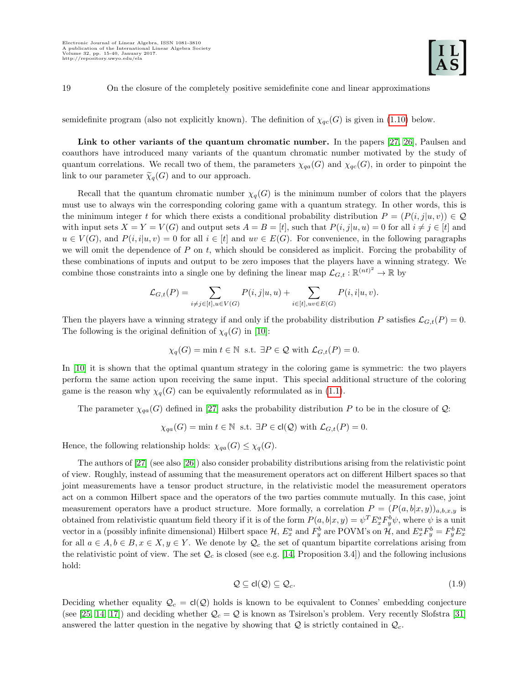semidefinite program (also not explicitly known). The definition of  $\chi_{qc}(G)$  is given in [\(1.10\)](#page-6-1) below.

Link to other variants of the quantum chromatic number. In the papers [\[27,](#page-26-1) [26\]](#page-25-4), Paulsen and coauthors have introduced many variants of the quantum chromatic number motivated by the study of quantum correlations. We recall two of them, the parameters  $\chi_{qa}(G)$  and  $\chi_{qc}(G)$ , in order to pinpoint the link to our parameter  $\widetilde{\chi}_q(G)$  and to our approach.

Recall that the quantum chromatic number  $\chi_q(G)$  is the minimum number of colors that the players must use to always win the corresponding coloring game with a quantum strategy. In other words, this is the minimum integer t for which there exists a conditional probability distribution  $P = (P(i, j|u, v)) \in \mathcal{Q}$ with input sets  $X = Y = V(G)$  and output sets  $A = B = [t]$ , such that  $P(i, j|u, u) = 0$  for all  $i \neq j \in [t]$  and  $u \in V(G)$ , and  $P(i, i|u, v) = 0$  for all  $i \in [t]$  and  $uv \in E(G)$ . For convenience, in the following paragraphs we will omit the dependence of  $P$  on  $t$ , which should be considered as implicit. Forcing the probability of these combinations of inputs and output to be zero imposes that the players have a winning strategy. We combine those constraints into a single one by defining the linear map  $\mathcal{L}_{G,t} : \mathbb{R}^{(nt)^2} \to \mathbb{R}$  by

$$
\mathcal{L}_{G,t}(P) = \sum_{i \neq j \in [t], u \in V(G)} P(i,j|u,u) + \sum_{i \in [t], uv \in E(G)} P(i,i|u,v).
$$

Then the players have a winning strategy if and only if the probability distribution P satisfies  $\mathcal{L}_{G,t}(P) = 0$ . The following is the original definition of  $\chi_q(G)$  in [\[10\]](#page-25-1):

$$
\chi_q(G) = \min t \in \mathbb{N}
$$
 s.t.  $\exists P \in \mathcal{Q}$  with  $\mathcal{L}_{G,t}(P) = 0$ .

In [\[10\]](#page-25-1) it is shown that the optimal quantum strategy in the coloring game is symmetric: the two players perform the same action upon receiving the same input. This special additional structure of the coloring game is the reason why  $\chi_q(G)$  can be equivalently reformulated as in [\(1.1\)](#page-2-1).

The parameter  $\chi_{qa}(G)$  defined in [\[27\]](#page-26-1) asks the probability distribution P to be in the closure of Q:

$$
\chi_{qa}(G) = \min t \in \mathbb{N} \text{ s.t. } \exists P \in \text{cl}(\mathcal{Q}) \text{ with } \mathcal{L}_{G,t}(P) = 0.
$$

Hence, the following relationship holds:  $\chi_{qa}(G) \leq \chi_q(G)$ .

The authors of [\[27\]](#page-26-1) (see also [\[26\]](#page-25-4)) also consider probability distributions arising from the relativistic point of view. Roughly, instead of assuming that the measurement operators act on different Hilbert spaces so that joint measurements have a tensor product structure, in the relativistic model the measurement operators act on a common Hilbert space and the operators of the two parties commute mutually. In this case, joint measurement operators have a product structure. More formally, a correlation  $P = (P(a, b|x, y))_{a,b,x,y}$  is obtained from relativistic quantum field theory if it is of the form  $P(a, b|x, y) = \psi^T E_x^a F_y^b \psi$ , where  $\psi$  is a unit vector in a (possibly infinite dimensional) Hilbert space  $\mathcal{H}$ ,  $E_x^a$  and  $F_y^b$  are POVM's on  $\mathcal{H}$ , and  $E_x^a F_y^b = F_y^b E_x^a$ for all  $a \in A, b \in B, x \in X, y \in Y$ . We denote by  $\mathcal{Q}_c$  the set of quantum bipartite correlations arising from the relativistic point of view. The set  $\mathcal{Q}_c$  is closed (see e.g. [\[14,](#page-25-9) Proposition 3.4]) and the following inclusions hold:

<span id="page-5-0"></span>
$$
\mathcal{Q} \subseteq \text{cl}(\mathcal{Q}) \subseteq \mathcal{Q}_c. \tag{1.9}
$$

Deciding whether equality  $\mathcal{Q}_c = cl(\mathcal{Q})$  holds is known to be equivalent to Connes' embedding conjecture (see [\[25,](#page-25-10) [14,](#page-25-9) [17\]](#page-25-11)) and deciding whether  $\mathcal{Q}_c = \mathcal{Q}$  is known as Tsirelson's problem. Very recently Slofstra [\[31\]](#page-26-5) answered the latter question in the negative by showing that  $Q$  is strictly contained in  $Q_c$ .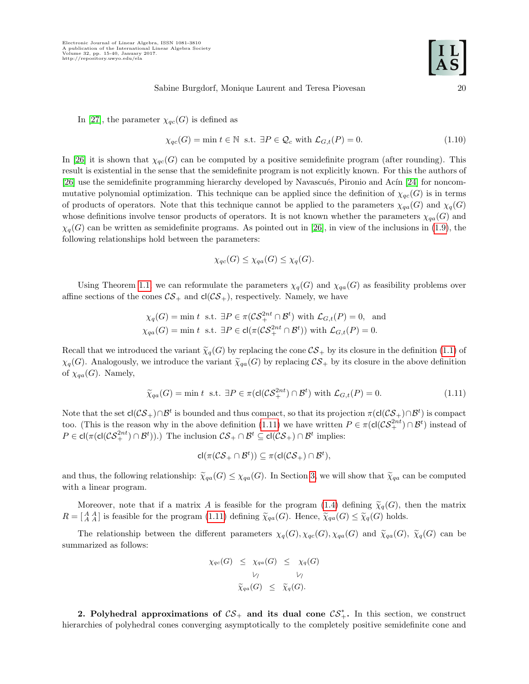In [\[27\]](#page-26-1), the parameter  $\chi_{qc}(G)$  is defined as

<span id="page-6-1"></span>
$$
\chi_{qc}(G) = \min t \in \mathbb{N} \text{ s.t. } \exists P \in \mathcal{Q}_c \text{ with } \mathcal{L}_{G,t}(P) = 0. \tag{1.10}
$$

In [\[26\]](#page-25-4) it is shown that  $\chi_{qc}(G)$  can be computed by a positive semidefinite program (after rounding). This result is existential in the sense that the semidefinite program is not explicitly known. For this the authors of [\[26\]](#page-25-4) use the semidefinite programming hierarchy developed by Navascués, Pironio and Acín [\[24\]](#page-25-12) for noncommutative polynomial optimization. This technique can be applied since the definition of  $\chi_{qc}(G)$  is in terms of products of operators. Note that this technique cannot be applied to the parameters  $\chi_{qa}(G)$  and  $\chi_{q}(G)$ whose definitions involve tensor products of operators. It is not known whether the parameters  $\chi_{qa}(G)$  and  $\chi_q(G)$  can be written as semidefinite programs. As pointed out in [\[26\]](#page-25-4), in view of the inclusions in [\(1.9\)](#page-5-0), the following relationships hold between the parameters:

$$
\chi_{qc}(G) \le \chi_{qa}(G) \le \chi_q(G).
$$

Using Theorem [1.1,](#page-3-5) we can reformulate the parameters  $\chi_q(G)$  and  $\chi_{qa}(G)$  as feasibility problems over affine sections of the cones  $\mathcal{CS}_+$  and  $cl(\mathcal{CS}_+)$ , respectively. Namely, we have

$$
\chi_q(G) = \min t \text{ s.t. } \exists P \in \pi(\mathcal{CS}_+^{2nt} \cap \mathcal{B}^t) \text{ with } \mathcal{L}_{G,t}(P) = 0, \text{ and}
$$
  

$$
\chi_{qa}(G) = \min t \text{ s.t. } \exists P \in cl(\pi(\mathcal{CS}_+^{2nt} \cap \mathcal{B}^t)) \text{ with } \mathcal{L}_{G,t}(P) = 0.
$$

Recall that we introduced the variant  $\tilde{\chi}_q(G)$  by replacing the cone  $\mathcal{CS}_+$  by its closure in the definition [\(1.1\)](#page-2-1) of  $\chi_q(G)$ . Analogously, we introduce the variant  $\tilde{\chi}_{qa}(G)$  by replacing  $\mathcal{CS}_+$  by its closure in the above definition of  $\chi_{qa}(G)$ . Namely,

<span id="page-6-2"></span>
$$
\widetilde{\chi}_{qa}(G) = \min t \text{ s.t. } \exists P \in \pi(\text{cl}(\mathcal{CS}_+^{2nt}) \cap \mathcal{B}^t) \text{ with } \mathcal{L}_{G,t}(P) = 0.
$$
\n(1.11)

Note that the set  $\mathsf{cl}(\mathcal{CS}_+) \cap \mathcal{B}^t$  is bounded and thus compact, so that its projection  $\pi(\mathsf{cl}(\mathcal{CS}_+) \cap \mathcal{B}^t)$  is compact too. (This is the reason why in the above definition [\(1.11\)](#page-6-2) we have written  $P \in \pi(\text{cl}(\mathcal{CS}_+^{2nt}) \cap \mathcal{B}^t)$  instead of  $P \in \text{cl}(\pi(\text{cl}(\mathcal{CS}_+^{2nt}) \cap \mathcal{B}^t))$ .) The inclusion  $\mathcal{CS}_+ \cap \mathcal{B}^t \subseteq \text{cl}(\mathcal{CS}_+) \cap \mathcal{B}^t$  implies:

$$
\mathsf{cl}(\pi(\mathcal{CS}_+\cap \mathcal{B}^t))\subseteq \pi(\mathsf{cl}(\mathcal{CS}_+)\cap \mathcal{B}^t),
$$

and thus, the following relationship:  $\tilde{\chi}_{qa}(G) \leq \chi_{qa}(G)$ . In Section [3,](#page-11-0) we will show that  $\tilde{\chi}_{qa}$  can be computed with a linear program.

Moreover, note that if a matrix A is feasible for the program [\(1.4\)](#page-3-4) defining  $\tilde{\chi}_q(G)$ , then the matrix  $R = \begin{bmatrix} A & A \\ A & A \end{bmatrix}$  is feasible for the program [\(1.11\)](#page-6-2) defining  $\tilde{\chi}_{qa}(G)$ . Hence,  $\tilde{\chi}_{qa}(G) \leq \tilde{\chi}_{q}(G)$  holds.

The relationship between the different parameters  $\chi_q(G), \chi_{qc}(G), \chi_{qa}(G)$  and  $\tilde{\chi}_{qa}(G), \tilde{\chi}_q(G)$  can be summarized as follows:

$$
\chi_{qc}(G) \leq \chi_{qa}(G) \leq \chi_q(G)
$$
  
\n
$$
\gamma \qquad \qquad \gamma
$$
  
\n
$$
\tilde{\chi}_{qa}(G) \leq \tilde{\chi}_q(G).
$$

<span id="page-6-0"></span>2. Polyhedral approximations of  $\mathcal{CS}_+$  and its dual cone  $\mathcal{CS}_+^*$ . In this section, we construct hierarchies of polyhedral cones converging asymptotically to the completely positive semidefinite cone and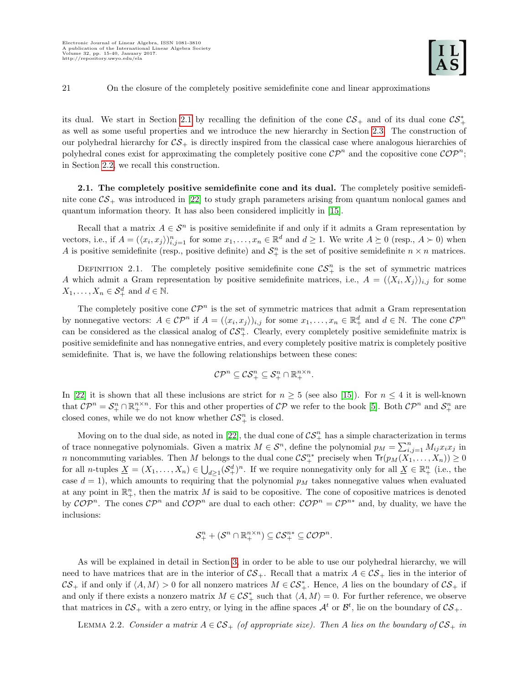its dual. We start in Section [2.1](#page-7-0) by recalling the definition of the cone  $\mathcal{CS}_+$  and of its dual cone  $\mathcal{CS}_+^*$ as well as some useful properties and we introduce the new hierarchy in Section [2.3.](#page-8-0) The construction of our polyhedral hierarchy for  $\mathcal{CS}_+$  is directly inspired from the classical case where analogous hierarchies of polyhedral cones exist for approximating the completely positive cone  $\mathcal{CP}^n$  and the copositive cone  $\mathcal{COP}^n$ ; in Section [2.2,](#page-8-1) we recall this construction.

<span id="page-7-0"></span>2.1. The completely positive semidefinite cone and its dual. The completely positive semidefinite cone  $\mathcal{CS}_+$  was introduced in [\[22\]](#page-25-3) to study graph parameters arising from quantum nonlocal games and quantum information theory. It has also been considered implicitly in [\[15\]](#page-25-13).

Recall that a matrix  $A \in \mathcal{S}^n$  is positive semidefinite if and only if it admits a Gram representation by vectors, i.e., if  $A = (\langle x_i, x_j \rangle)_{i,j=1}^n$  for some  $x_1, \ldots, x_n \in \mathbb{R}^d$  and  $d \ge 1$ . We write  $A \succeq 0$  (resp.,  $A \succ 0$ ) when A is positive semidefinite (resp., positive definite) and  $\mathcal{S}^n_+$  is the set of positive semidefinite  $n \times n$  matrices.

DEFINITION 2.1. The completely positive semidefinite cone  $\mathcal{CS}_{+}^{n}$  is the set of symmetric matrices A which admit a Gram representation by positive semidefinite matrices, i.e.,  $A = (\langle X_i, X_j \rangle)_{i,j}$  for some  $X_1, \ldots, X_n \in \mathcal{S}_+^d$  and  $d \in \mathbb{N}$ .

The completely positive cone  $\mathcal{CP}^n$  is the set of symmetric matrices that admit a Gram representation by nonnegative vectors:  $A \in \mathcal{CP}^n$  if  $A = (\langle x_i, x_j \rangle)_{i,j}$  for some  $x_1, \ldots, x_n \in \mathbb{R}^d_+$  and  $d \in \mathbb{N}$ . The cone  $\mathcal{CP}^n$ can be considered as the classical analog of  $\mathcal{CS}_{+}^{n}$ . Clearly, every completely positive semidefinite matrix is positive semidefinite and has nonnegative entries, and every completely positive matrix is completely positive semidefinite. That is, we have the following relationships between these cones:

$$
\mathcal{CP}^n \subseteq \mathcal{CS}^n_+ \subseteq \mathcal{S}^n_+ \cap \mathbb{R}^{n \times n}_+.
$$

In [\[22\]](#page-25-3) it is shown that all these inclusions are strict for  $n \geq 5$  (see also [\[15\]](#page-25-13)). For  $n \leq 4$  it is well-known that  $\mathcal{CP}^n = \mathcal{S}^n_+ \cap \mathbb{R}^{n \times n}_+$ . For this and other properties of  $\mathcal{CP}$  we refer to the book [\[5\]](#page-25-14). Both  $\mathcal{CP}^n$  and  $\mathcal{S}^n_+$  are closed cones, while we do not know whether  $\mathcal{CS}_+^n$  is closed.

Moving on to the dual side, as noted in [\[22\]](#page-25-3), the dual cone of  $\mathcal{CS}_{+}^{n}$  has a simple characterization in terms of trace nonnegative polynomials. Given a matrix  $M \in \mathcal{S}^n$ , define the polynomial  $p_M = \sum_{i,j=1}^n M_{ij} x_i x_j$  in n noncommuting variables. Then M belongs to the dual cone  $\mathcal{CS}_+^{n*}$  precisely when  $\text{Tr}(p_M(X_1,\ldots,X_n)) \geq 0$ for all *n*-tuples  $\underline{X} = (X_1, \ldots, X_n) \in \bigcup_{d \geq 1} (\mathcal{S}_+^d)^n$ . If we require nonnegativity only for all  $\underline{X} \in \mathbb{R}_+^n$  (i.e., the case  $d = 1$ , which amounts to requiring that the polynomial  $p<sub>M</sub>$  takes nonnegative values when evaluated at any point in  $\mathbb{R}^n_+$ , then the matrix M is said to be copositive. The cone of copositive matrices is denoted by  $\mathcal{C}OP^n$ . The cones  $\mathcal{CP}^n$  and  $\mathcal{C}OP^n$  are dual to each other:  $\mathcal{C}OP^n = \mathcal{CP}^{n*}$  and, by duality, we have the inclusions:

<span id="page-7-1"></span>
$$
\mathcal{S}^n_+ + (\mathcal{S}^n \cap \mathbb{R}^{n \times n}_+) \subseteq \mathcal{CS}^{n*}_+ \subseteq \mathcal{COP}^n.
$$

As will be explained in detail in Section [3,](#page-11-0) in order to be able to use our polyhedral hierarchy, we will need to have matrices that are in the interior of  $\mathcal{CS}_+$ . Recall that a matrix  $A \in \mathcal{CS}_+$  lies in the interior of  $\mathcal{CS}_+$  if and only if  $\langle A, M \rangle > 0$  for all nonzero matrices  $M \in \mathcal{CS}_+^*$ . Hence, A lies on the boundary of  $\mathcal{CS}_+$  if and only if there exists a nonzero matrix  $M \in \mathcal{CS}_{+}^{*}$  such that  $\langle A, M \rangle = 0$ . For further reference, we observe that matrices in  $CS_+$  with a zero entry, or lying in the affine spaces  $\mathcal{A}^t$  or  $\mathcal{B}^t$ , lie on the boundary of  $CS_+$ .

LEMMA 2.2. Consider a matrix  $A \in \mathcal{CS}_+$  (of appropriate size). Then A lies on the boundary of  $\mathcal{CS}_+$  in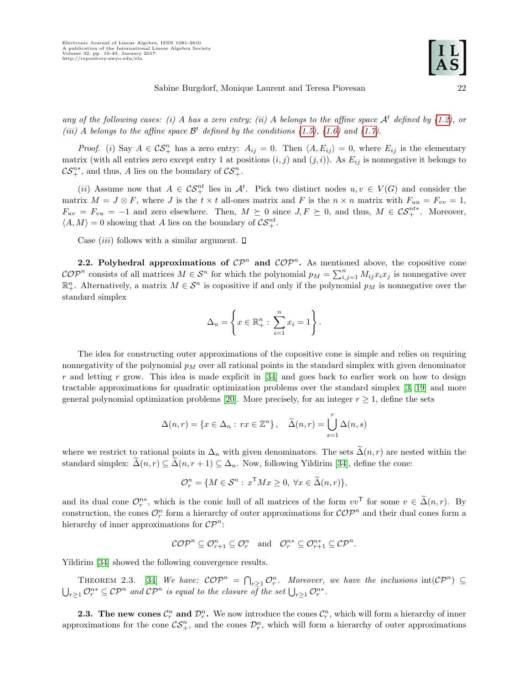any of the following cases: (i) A has a zero entry; (ii) A belongs to the affine space  $\mathcal{A}^t$  defined by [\(1.2\)](#page-2-2), or (iii) A belongs to the affine space  $\mathcal{B}^t$  defined by the conditions [\(1.5\)](#page-3-0), [\(1.6\)](#page-3-1) and [\(1.7\)](#page-3-2).

*Proof.* (i) Say  $A \in \mathcal{CS}_+^n$  has a zero entry:  $A_{ij} = 0$ . Then  $\langle A, E_{ij} \rangle = 0$ , where  $E_{ij}$  is the elementary matrix (with all entries zero except entry 1 at positions  $(i, j)$  and  $(j, i)$ ). As  $E_{ij}$  is nonnegative it belongs to  $\mathcal{CS}_{+}^{n*}$ , and thus, A lies on the boundary of  $\mathcal{CS}_{+}^{n}$ .

(ii) Assume now that  $A \in \mathcal{CS}_+^{nt}$  lies in  $\mathcal{A}^t$ . Pick two distinct nodes  $u, v \in V(G)$  and consider the matrix  $M = J \otimes F$ , where J is the  $t \times t$  all-ones matrix and F is the  $n \times n$  matrix with  $F_{uu} = F_{vv} = 1$ ,  $F_{uv} = F_{vu} = -1$  and zero elsewhere. Then,  $M \succeq 0$  since  $J, F \succeq 0$ , and thus,  $M \in \mathcal{CS}_+^{nt*}$ . Moreover,  $\langle A, M \rangle = 0$  showing that A lies on the boundary of  $\mathcal{CS}^{nt}_+$ .

Case *(iii)* follows with a similar argument.  $\square$ 

<span id="page-8-1"></span>2.2. Polyhedral approximations of  $\mathcal{CP}^n$  and  $\mathcal{COP}^n$ . As mentioned above, the copositive cone  $\mathcal{COP}^n$  consists of all matrices  $M \in \mathcal{S}^n$  for which the polynomial  $p_M = \sum_{i,j=1}^n M_{ij} x_i x_j$  is nonnegative over  $\mathbb{R}^n_+$ . Alternatively, a matrix  $M \in \mathcal{S}^n$  is copositive if and only if the polynomial  $p_M$  is nonnegative over the standard simplex

$$
\Delta_n = \left\{ x \in \mathbb{R}^n_+ : \sum_{i=1}^n x_i = 1 \right\}.
$$

The idea for constructing outer approximations of the copositive cone is simple and relies on requiring nonnegativity of the polynomial  $p_M$  over all rational points in the standard simplex with given denominator  $r$  and letting  $r$  grow. This idea is made explicit in [\[34\]](#page-26-4) and goes back to earlier work on how to design tractable approximations for quadratic optimization problems over the standard simplex [\[3,](#page-25-6) [19\]](#page-25-15) and more general polynomial optimization problems [\[20\]](#page-25-7). More precisely, for an integer  $r \geq 1$ , define the sets

$$
\Delta(n,r) = \{x \in \Delta_n : rx \in \mathbb{Z}^n\}, \quad \widetilde{\Delta}(n,r) = \bigcup_{s=1}^r \Delta(n,s)
$$

where we restrict to rational points in  $\Delta_n$  with given denominators. The sets  $\tilde{\Delta}(n,r)$  are nested within the standard simplex:  $\Delta(n,r) \subseteq \Delta(n,r+1) \subseteq \Delta_n$ . Now, following Yildirim [\[34\]](#page-26-4), define the cone:

$$
\mathcal{O}_r^n = \{ M \in \mathcal{S}^n : x^{\mathsf{T}} M x \ge 0, \ \forall x \in \widetilde{\Delta}(n,r) \},
$$

and its dual cone  $\mathcal{O}_r^{n*}$ , which is the conic hull of all matrices of the form  $vv^{\mathsf{T}}$  for some  $v \in \tilde{\Delta}(n,r)$ . By construction, the cones  $\mathcal{O}_r^n$  form a hierarchy of outer approximations for  $\mathcal{COP}^n$  and their dual cones form a hierarchy of inner approximations for  $\mathcal{CP}^n$ :

$$
\mathcal{COP}^n \subseteq \mathcal{O}_{r+1}^n \subseteq \mathcal{O}_r^n \quad \text{and} \quad \mathcal{O}_r^{n*} \subseteq \mathcal{O}_{r+1}^{n*} \subseteq \mathcal{CP}^n.
$$

Yildirim [\[34\]](#page-26-4) showed the following convergence results.

THEOREM 2.3. [\[34\]](#page-26-4) We have:  $\mathcal{COP}^n = \bigcap_{r>1} \mathcal{O}_r^n$ . Moreover, we have the inclusions  $int(\mathcal{CP}^n) \subseteq$  $\bigcup_{r\geq 1}\mathcal{O}_r^{n*}\subseteq \mathcal{CP}^n$  and  $\mathcal{CP}^n$  is equal to the closure of the set  $\bigcup_{r\geq 1}\mathcal{O}_r^{n*}$ .

<span id="page-8-0"></span>**2.3.** The new cones  $\mathcal{C}_r^n$  and  $\mathcal{D}_r^n$ . We now introduce the cones  $\mathcal{C}_r^n$ , which will form a hierarchy of inner approximations for the cone  $\mathcal{CS}_{+}^n$ , and the cones  $\mathcal{D}_r^n$ , which will form a hierarchy of outer approximations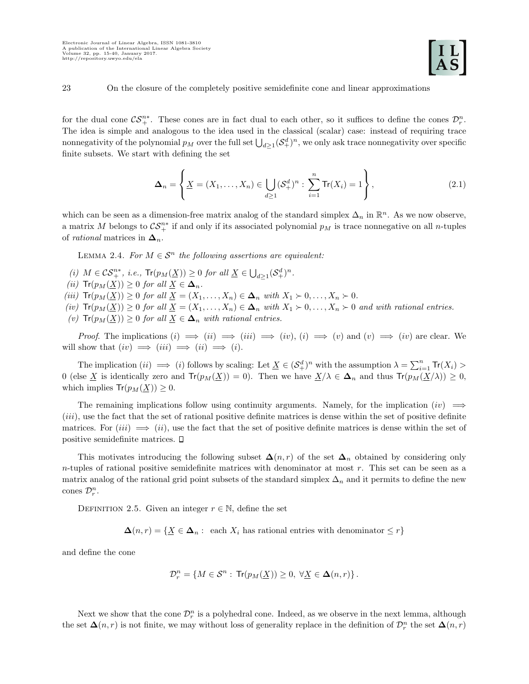for the dual cone  $\mathcal{CS}_{+}^{n*}$ . These cones are in fact dual to each other, so it suffices to define the cones  $\mathcal{D}_{r}^{n}$ . The idea is simple and analogous to the idea used in the classical (scalar) case: instead of requiring trace nonnegativity of the polynomial  $p_M$  over the full set  $\bigcup_{d\geq 1} (\mathcal{S}_+^d)^n$ , we only ask trace nonnegativity over specific finite subsets. We start with defining the set

<span id="page-9-1"></span><span id="page-9-0"></span>
$$
\Delta_n = \left\{ \underline{X} = (X_1, \dots, X_n) \in \bigcup_{d \ge 1} (\mathcal{S}_+^d)^n : \sum_{i=1}^n \text{Tr}(X_i) = 1 \right\},\tag{2.1}
$$

which can be seen as a dimension-free matrix analog of the standard simplex  $\Delta_n$  in  $\mathbb{R}^n$ . As we now observe, a matrix M belongs to  $\mathcal{CS}_+^{n*}$  if and only if its associated polynomial  $p_M$  is trace nonnegative on all n-tuples of *rational* matrices in  $\Delta_n$ .

LEMMA 2.4. For  $M \in \mathcal{S}^n$  the following assertions are equivalent:

- (i)  $M \in \mathcal{CS}_+^{n*}, i.e., \operatorname{Tr}(p_M(\underline{X})) \geq 0$  for all  $\underline{X} \in \bigcup_{d \geq 1} (\mathcal{S}_+^d)^n$ .
- (ii)  $\text{Tr}(p_M(\underline{X})) \geq 0$  for all  $\underline{X} \in \Delta_n$ .
- (iii)  $\text{Tr}(p_M(\underline{X})) \geq 0$  for all  $\underline{X} = (X_1, \ldots, X_n) \in \Delta_n$  with  $X_1 \succ 0, \ldots, X_n \succ 0$ .
- (iv)  $\text{Tr}(p_M(\underline{X})) \geq 0$  for all  $\underline{X} = (X_1, \ldots, X_n) \in \Delta_n$  with  $X_1 \succ 0, \ldots, X_n \succ 0$  and with rational entries.
- (v)  $\text{Tr}(p_M(\underline{X})) \geq 0$  for all  $\underline{X} \in \Delta_n$  with rational entries.

*Proof.* The implications  $(i) \implies (ii) \implies (iii) \implies (iv)$ ,  $(i) \implies (v)$  and  $(v) \implies (iv)$  are clear. We will show that  $(iv) \implies (iii) \implies (i) \implies (i)$ .

The implication  $(ii) \implies (i)$  follows by scaling: Let  $\underline{X} \in (\mathcal{S}_+^d)^n$  with the assumption  $\lambda = \sum_{i=1}^n \text{Tr}(X_i) >$ 0 (else X is identically zero and  $Tr(p_M(\underline{X})) = 0$ ). Then we have  $X/\lambda \in \Delta_n$  and thus  $Tr(p_M(\underline{X}/\lambda)) \geq 0$ , which implies  $Tr(p_M(\underline{X})) \geq 0$ .

The remaining implications follow using continuity arguments. Namely, for the implication  $(iv) \implies$ (iii), use the fact that the set of rational positive definite matrices is dense within the set of positive definite matrices. For  $(iii) \implies (ii)$ , use the fact that the set of positive definite matrices is dense within the set of positive semidefinite matrices.

This motivates introducing the following subset  $\Delta(n,r)$  of the set  $\Delta_n$  obtained by considering only  $n$ -tuples of rational positive semidefinite matrices with denominator at most  $r$ . This set can be seen as a matrix analog of the rational grid point subsets of the standard simplex  $\Delta_n$  and it permits to define the new cones  $\mathcal{D}_r^n$ .

DEFINITION 2.5. Given an integer  $r \in \mathbb{N}$ , define the set

 $\Delta(n,r) = \{X \in \Delta_n : \text{ each } X_i \text{ has rational entries with denominator } \leq r\}$ 

and define the cone

$$
\mathcal{D}^n_r = \left\{ M \in \mathcal{S}^n : \, \text{Tr}(p_M(\underline{X})) \geq 0, \, \forall \underline{X} \in \Delta(n,r) \right\}.
$$

Next we show that the cone  $\mathcal{D}_r^n$  is a polyhedral cone. Indeed, as we observe in the next lemma, although the set  $\Delta(n,r)$  is not finite, we may without loss of generality replace in the definition of  $\mathcal{D}_r^n$  the set  $\Delta(n,r)$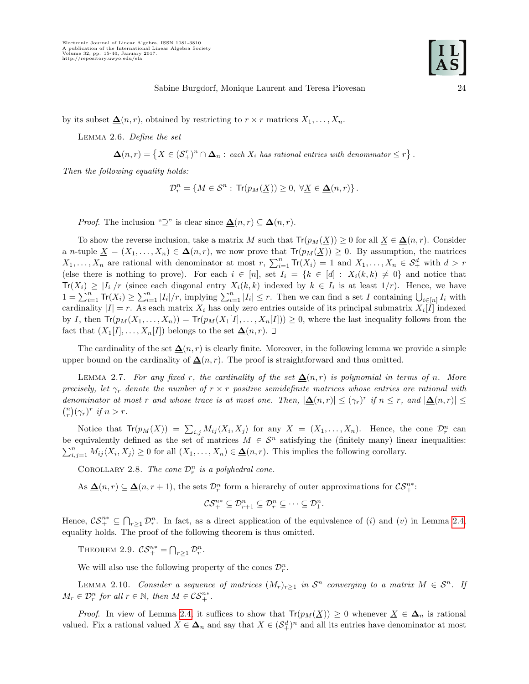<span id="page-10-0"></span>by its subset  $\Delta(n,r)$ , obtained by restricting to  $r \times r$  matrices  $X_1, \ldots, X_n$ .

Lemma 2.6. Define the set

$$
\underline{\Delta}(n,r) = \left\{ \underline{X} \in (\mathcal{S}_+^r)^n \cap \Delta_n : \text{ each } X_i \text{ has rational entries with denominator } \leq r \right\}
$$

Then the following equality holds:

$$
\mathcal{D}^n_r = \left\{ M \in \mathcal{S}^n : \, \text{Tr}(p_M(\underline{X})) \geq 0, \; \forall \underline{X} \in \underline{\Delta}(n,r) \right\}.
$$

*Proof.* The inclusion "⊇" is clear since  $\mathbf{\Delta}(n,r) \subseteq \mathbf{\Delta}(n,r)$ .

To show the reverse inclusion, take a matrix M such that  $Tr(p_M(\underline{X})) \geq 0$  for all  $\underline{X} \in \underline{\Delta}(n, r)$ . Consider a n-tuple  $\underline{X} = (X_1, \ldots, X_n) \in \Delta(n, r)$ , we now prove that  $Tr(p_M(\underline{X})) \geq 0$ . By assumption, the matrices  $X_1,\ldots,X_n$  are rational with denominator at most  $r, \sum_{i=1}^n \text{Tr}(X_i) = 1$  and  $X_1,\ldots,X_n \in \mathcal{S}_+^d$  with  $d > r$ (else there is nothing to prove). For each  $i \in [n]$ , set  $I_i = \{k \in [d] : X_i(k, k) \neq 0\}$  and notice that  $\text{Tr}(X_i) \geq |I_i|/r$  (since each diagonal entry  $X_i(k,k)$  indexed by  $k \in I_i$  is at least  $1/r$ ). Hence, we have  $1 = \sum_{i=1}^n \text{Tr}(X_i) \geq \sum_{i=1}^n |I_i|/r$ , implying  $\sum_{i=1}^n |I_i| \leq r$ . Then we can find a set I containing  $\bigcup_{i \in [n]} I_i$  with cardinality  $|I| = r$ . As each matrix  $X_i$  has only zero entries outside of its principal submatrix  $X_i[I]$  indexed by I, then  $Tr(p_M(X_1, \ldots, X_n)) = Tr(p_M(X_1[I], \ldots, X_n[I])) \geq 0$ , where the last inequality follows from the fact that  $(X_1[I], \ldots, X_n[I])$  belongs to the set  $\Delta(n,r)$ .  $\Box$ 

The cardinality of the set  $\Delta(n,r)$  is clearly finite. Moreover, in the following lemma we provide a simple upper bound on the cardinality of  $\Delta(n, r)$ . The proof is straightforward and thus omitted.

LEMMA 2.7. For any fixed r, the cardinality of the set  $\Delta(n,r)$  is polynomial in terms of n. More precisely, let  $\gamma_r$  denote the number of  $r \times r$  positive semidefinite matrices whose entries are rational with denominator at most r and whose trace is at most one. Then,  $|\underline{\Delta}(n,r)| \leq (\gamma_r)^r$  if  $n \leq r$ , and  $|\underline{\Delta}(n,r)| \leq$  $\binom{n}{r}(\gamma_r)^r$  if  $n > r$ .

Notice that  $Tr(p_M(\underline{X})) = \sum_{i,j} M_{ij} \langle X_i, X_j \rangle$  for any  $\underline{X} = (X_1, \ldots, X_n)$ . Hence, the cone  $\mathcal{D}_r^n$  can be equivalently defined as the set of matrices  $M \in \mathcal{S}^n$  satisfying the (finitely many) linear inequalities:  $\sum_{i,j=1}^n M_{ij} \langle X_i, X_j \rangle \ge 0$  for all  $(X_1, \ldots, X_n) \in \underline{\Delta}(n, r)$ . This implies the following corollary.

COROLLARY 2.8. The cone  $\mathcal{D}_r^n$  is a polyhedral cone.

As  $\Delta(n,r) \subseteq \Delta(n,r+1)$ , the sets  $\mathcal{D}_r^n$  form a hierarchy of outer approximations for  $\mathcal{CS}_+^{n*}$ :

$$
\mathcal{CS}_+^{n*} \subseteq \mathcal{D}_{r+1}^n \subseteq \mathcal{D}_r^n \subseteq \cdots \subseteq \mathcal{D}_1^n.
$$

Hence,  $\mathcal{CS}_{+}^{n*} \subseteq \bigcap_{r\geq 1} \mathcal{D}_r^n$ . In fact, as a direct application of the equivalence of (i) and (v) in Lemma [2.4,](#page-9-0) equality holds. The proof of the following theorem is thus omitted.

THEOREM 2.9.  $\mathcal{CS}_+^{n*} = \bigcap_{r\geq 1} \mathcal{D}_r^n$ .

We will also use the following property of the cones  $\mathcal{D}_r^n$ .

<span id="page-10-1"></span>LEMMA 2.10. Consider a sequence of matrices  $(M_r)_{r\geq 1}$  in  $\mathcal{S}^n$  converging to a matrix  $M \in \mathcal{S}^n$ . If  $M_r \in \mathcal{D}_r^n$  for all  $r \in \mathbb{N}$ , then  $M \in \mathcal{CS}_+^{n*}$ .

*Proof.* In view of Lemma [2.4,](#page-9-0) it suffices to show that  $Tr(p_M(\underline{X})) \geq 0$  whenever  $\underline{X} \in \Delta_n$  is rational valued. Fix a rational valued  $\underline{X} \in \Delta_n$  and say that  $\underline{X} \in (\mathcal{S}_+^d)^n$  and all its entries have denominator at most

.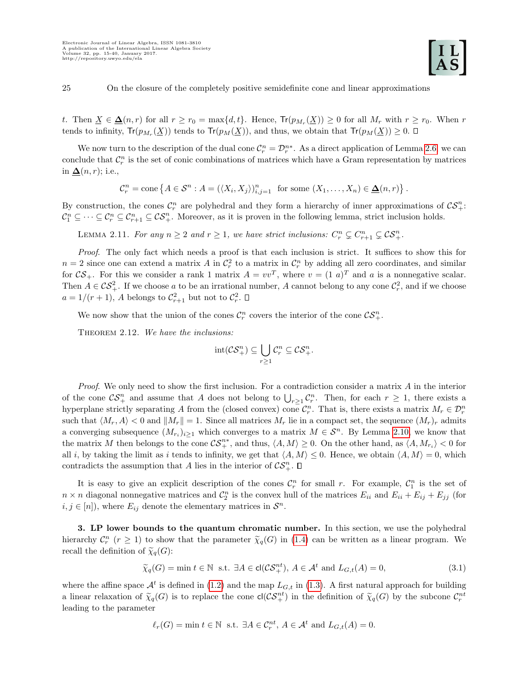t. Then  $\underline{X} \in \underline{\Delta}(n,r)$  for all  $r \geq r_0 = \max\{d,t\}$ . Hence,  $Tr(p_{M_r}(\underline{X})) \geq 0$  for all  $M_r$  with  $r \geq r_0$ . When r tends to infinity,  $Tr(p_{M_r}(\underline{X}))$  tends to  $Tr(p_M(\underline{X}))$ , and thus, we obtain that  $Tr(p_M(\underline{X})) \geq 0$ .

We now turn to the description of the dual cone  $\mathcal{C}_r^n = \mathcal{D}_r^{n*}$ . As a direct application of Lemma [2.6,](#page-10-0) we can conclude that  $\mathcal{C}_r^n$  is the set of conic combinations of matrices which have a Gram representation by matrices in  $\Delta(n,r)$ ; i.e.,

 $\mathcal{C}_r^n = \text{cone} \left\{ A \in \mathcal{S}^n : A = (\langle X_i, X_j \rangle)_{i,j=1}^n \text{ for some } (X_1, \dots, X_n) \in \underline{\Delta}(n, r) \right\}.$ 

By construction, the cones  $\mathcal{C}_r^n$  are polyhedral and they form a hierarchy of inner approximations of  $\mathcal{CS}_+^n$ :  $\mathcal{C}_1^n \subseteq \cdots \subseteq \mathcal{C}_r^n \subseteq \mathcal{C}_{r+1}^n \subseteq \mathcal{CS}_+^n$ . Moreover, as it is proven in the following lemma, strict inclusion holds.

LEMMA 2.11. For any  $n \geq 2$  and  $r \geq 1$ , we have strict inclusions:  $C_r^n \subsetneq C_{r+1}^n \subsetneq \mathcal{CS}_+^n$ .

Proof. The only fact which needs a proof is that each inclusion is strict. It suffices to show this for  $n=2$  since one can extend a matrix A in  $\mathcal{C}_r^2$  to a matrix in  $\mathcal{C}_r^n$  by adding all zero coordinates, and similar for  $CS_+$ . For this we consider a rank 1 matrix  $A = vv^T$ , where  $v = (1 \ a)^T$  and a is a nonnegative scalar. Then  $A \in \mathcal{CS}_+^2$ . If we choose a to be an irrational number, A cannot belong to any cone  $\mathcal{C}_r^2$ , and if we choose  $a = 1/(r+1)$ , A belongs to  $C_{r+1}^2$  but not to  $C_r^2$ .

We now show that the union of the cones  $\mathcal{C}_r^n$  covers the interior of the cone  $\mathcal{CS}_+^n$ .

<span id="page-11-2"></span>THEOREM 2.12. We have the inclusions:

$$
{\rm int}(\mathcal{CS}^n_+)\subseteq\bigcup_{r\geq 1}\mathcal{C}^n_r\subseteq\mathcal{CS}^n_+.
$$

Proof. We only need to show the first inclusion. For a contradiction consider a matrix A in the interior of the cone  $\mathcal{CS}_{+}^n$  and assume that A does not belong to  $\bigcup_{r\geq 1}\mathcal{C}_r^n$ . Then, for each  $r\geq 1$ , there exists a hyperplane strictly separating A from the (closed convex) cone  $\mathcal{C}_r^n$ . That is, there exists a matrix  $M_r \in \mathcal{D}_r^n$ such that  $\langle M_r, A \rangle < 0$  and  $||M_r|| = 1$ . Since all matrices  $M_r$  lie in a compact set, the sequence  $(M_r)_r$  admits a converging subsequence  $(M_{r_i})_{i\geq 1}$  which converges to a matrix  $M \in \mathcal{S}^n$ . By Lemma [2.10,](#page-10-1) we know that the matrix M then belongs to the cone  $\mathcal{CS}_{+}^{n*}$ , and thus,  $\langle A, M \rangle \geq 0$ . On the other hand, as  $\langle A, M_{r_i} \rangle < 0$  for all i, by taking the limit as i tends to infinity, we get that  $\langle A, M \rangle \leq 0$ . Hence, we obtain  $\langle A, M \rangle = 0$ , which contradicts the assumption that A lies in the interior of  $\mathcal{CS}_{+}^{n}$ .

It is easy to give an explicit description of the cones  $\mathcal{C}_r^n$  for small r. For example,  $\mathcal{C}_1^n$  is the set of  $n \times n$  diagonal nonnegative matrices and  $C_2^n$  is the convex hull of the matrices  $E_{ii}$  and  $E_{ii} + E_{ij} + E_{jj}$  (for  $i, j \in [n]$ , where  $E_{ij}$  denote the elementary matrices in  $\mathcal{S}^n$ .

<span id="page-11-0"></span>3. LP lower bounds to the quantum chromatic number. In this section, we use the polyhedral hierarchy  $\mathcal{C}_r^n$   $(r \ge 1)$  to show that the parameter  $\tilde{\chi}_q(G)$  in [\(1.4\)](#page-3-4) can be written as a linear program. We recall the definition of  $\widetilde{\chi}_q(G)$ :

<span id="page-11-1"></span>
$$
\widetilde{\chi}_q(G) = \min t \in \mathbb{N} \text{ s.t. } \exists A \in \text{cl}(\mathcal{CS}_+^{nt}), A \in \mathcal{A}^t \text{ and } L_{G,t}(A) = 0,
$$
\n(3.1)

where the affine space  $\mathcal{A}^t$  is defined in [\(1.2\)](#page-2-2) and the map  $L_{G,t}$  in [\(1.3\)](#page-2-0). A first natural approach for building a linear relaxation of  $\tilde{\chi}_q(G)$  is to replace the cone  $cl(\mathcal{CS}_+^{nt})$  in the definition of  $\tilde{\chi}_q(G)$  by the subcone  $\mathcal{C}_r^{nt}$ leading to the parameter

$$
\ell_r(G) = \min t \in \mathbb{N} \text{ s.t. } \exists A \in \mathcal{C}_r^{nt}, A \in \mathcal{A}^t \text{ and } L_{G,t}(A) = 0.
$$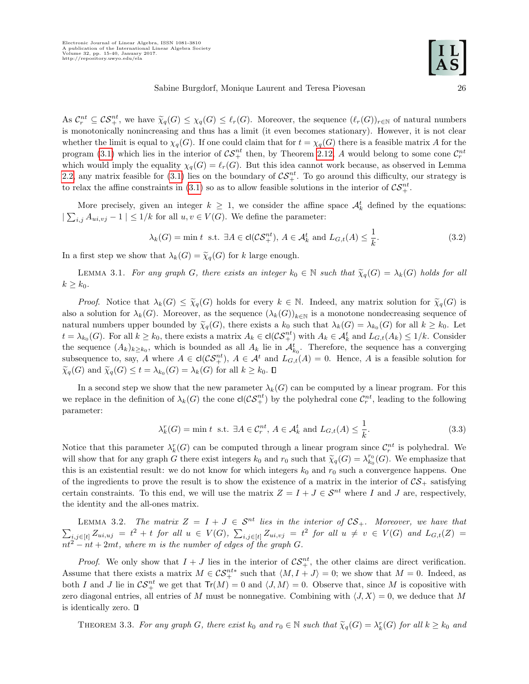As  $\mathcal{C}_r^{nt} \subseteq \mathcal{C}^{nt}$ , we have  $\widetilde{\chi}_q(G) \leq \chi_q(G) \leq \ell_r(G)$ . Moreover, the sequence  $(\ell_r(G))_{r \in \mathbb{N}}$  of natural numbers<br>is monotonically negligate provision of the local limit (it can because the inner all limits in is monotonically nonincreasing and thus has a limit (it even becomes stationary). However, it is not clear whether the limit is equal to  $\chi_q(G)$ . If one could claim that for  $t = \chi_q(G)$  there is a feasible matrix A for the program [\(3.1\)](#page-11-1) which lies in the interior of  $\mathcal{CS}_+^{nt}$  then, by Theorem [2.12,](#page-11-2) A would belong to some cone  $\mathcal{C}_r^{nt}$ which would imply the equality  $\chi_q(G) = \ell_r(G)$ . But this idea cannot work because, as observed in Lemma [2.2,](#page-7-1) any matrix feasible for [\(3.1\)](#page-11-1) lies on the boundary of  $\mathcal{CS}_{+}^{nt}$ . To go around this difficulty, our strategy is to relax the affine constraints in [\(3.1\)](#page-11-1) so as to allow feasible solutions in the interior of  $\mathcal{CS}_{+}^{nt}$ .

More precisely, given an integer  $k \geq 1$ , we consider the affine space  $\mathcal{A}_k^t$  defined by the equations:  $|\sum_{i,j} A_{ui,vj} - 1| \leq 1/k$  for all  $u, v \in V(G)$ . We define the parameter:

<span id="page-12-1"></span>
$$
\lambda_k(G) = \min t \text{ s.t. } \exists A \in \text{cl}(\mathcal{CS}_+^{nt}), A \in \mathcal{A}_k^t \text{ and } L_{G,t}(A) \le \frac{1}{k}.
$$
 (3.2)

In a first step we show that  $\lambda_k(G) = \tilde{\chi}_q(G)$  for k large enough.

<span id="page-12-0"></span>LEMMA 3.1. For any graph G, there exists an integer  $k_0 \in \mathbb{N}$  such that  $\widetilde{\chi}_q(G) = \lambda_k(G)$  holds for all  $k \geq k_0$ .

*Proof.* Notice that  $\lambda_k(G) \leq \tilde{\chi}_q(G)$  holds for every  $k \in \mathbb{N}$ . Indeed, any matrix solution for  $\tilde{\chi}_q(G)$  is also a solution for  $\lambda_k(G)$ . Moreover, as the sequence  $(\lambda_k(G))_{k\in\mathbb{N}}$  is a monotone nondecreasing sequence of natural numbers upper bounded by  $\widetilde{\chi}_q(G)$ , there exists a  $k_0$  such that  $\lambda_k(G) = \lambda_{k_0}(G)$  for all  $k \geq k_0$ . Let  $t = \lambda_{k_0}(G)$ . For all  $k \geq k_0$ , there exists a matrix  $A_k \in \text{cl}(\mathcal{CS}_+^{nt})$  with  $A_k \in \mathcal{A}_k^t$  and  $L_{G,t}(A_k) \leq 1/k$ . Consider the sequence  $(A_k)_{k\geq k_0}$ , which is bounded as all  $A_k$  lie in  $\mathcal{A}_{k_0}^t$ . Therefore, the sequence has a converging subsequence to, say, A where  $A \in \text{cl}(\mathcal{CS}_+^{nt})$ ,  $A \in \mathcal{A}^t$  and  $L_{G,t}(A) = 0$ . Hence, A is a feasible solution for  $\widetilde{\chi}_q(G)$  and  $\widetilde{\chi}_q(G) \leq t = \lambda_{k_0}(G) = \lambda_k(G)$  for all  $k \geq k_0$ .

In a second step we show that the new parameter  $\lambda_k(G)$  can be computed by a linear program. For this we replace in the definition of  $\lambda_k(G)$  the cone  $cl(\mathcal{CS}_+^{nt})$  by the polyhedral cone  $\mathcal{C}_r^{nt}$ , leading to the following parameter:

<span id="page-12-2"></span>
$$
\lambda_k^r(G) = \min t \text{ s.t. } \exists A \in \mathcal{C}_r^{nt}, A \in \mathcal{A}_k^t \text{ and } L_{G,t}(A) \le \frac{1}{k}.
$$
 (3.3)

Notice that this parameter  $\lambda_k^r(G)$  can be computed through a linear program since  $\mathcal{C}_r^{nt}$  is polyhedral. We will show that for any graph G there exist integers  $k_0$  and  $r_0$  such that  $\tilde{\chi}_q(G) = \lambda_{k_0}^{r_0}(G)$ . We emphasize that this is an existential result: we do not know for which integers  $k_0$  and  $r_0$  such a convergence happens. One of the ingredients to prove the result is to show the existence of a matrix in the interior of  $\mathcal{CS}_+$  satisfying certain constraints. To this end, we will use the matrix  $Z = I + J \in S^{nt}$  where I and J are, respectively, the identity and the all-ones matrix.

<span id="page-12-3"></span>LEMMA 3.2. The matrix  $Z = I + J \in S^{nt}$  lies in the interior of  $CS_+$ . Moreover, we have that  $\sum_{i,j\in[t]} Z_{ui,uj} = t^2 + t$  for all  $u \in V(G)$ ,  $\sum_{i,j\in[t]} Z_{ui,vj} = t^2$  for all  $u \neq v \in V(G)$  and  $L_{G,t}(Z) =$  $nt^2 - nt + 2mt$ , where m is the number of edges of the graph G.

*Proof.* We only show that  $I + J$  lies in the interior of  $\mathcal{CS}_+^{nt}$ , the other claims are direct verification. Assume that there exists a matrix  $M \in \mathcal{CS}_+^{nt*}$  such that  $\langle M, I + J \rangle = 0$ ; we show that  $M = 0$ . Indeed, as both I and J lie in  $\mathcal{CS}_+^{nt}$  we get that  $\text{Tr}(M) = 0$  and  $\langle J, M \rangle = 0$ . Observe that, since M is copositive with zero diagonal entries, all entries of M must be nonnegative. Combining with  $\langle J, X \rangle = 0$ , we deduce that M is identically zero.  $\square$ 

<span id="page-12-4"></span>THEOREM 3.3. For any graph G, there exist  $k_0$  and  $r_0 \in \mathbb{N}$  such that  $\widetilde{\chi}_q(G) = \lambda_k^r(G)$  for all  $k \geq k_0$  and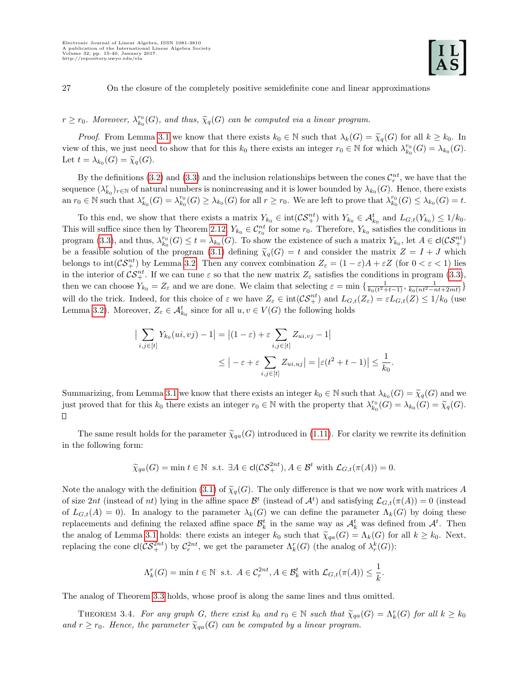## $r \geq r_0$ . Moreover,  $\lambda_{k_0}^{r_0}(G)$ , and thus,  $\widetilde{\chi}_q(G)$  can be computed via a linear program.

*Proof.* From Lemma [3.1](#page-12-0) we know that there exists  $k_0 \in \mathbb{N}$  such that  $\lambda_k(G) = \tilde{\chi}_q(G)$  for all  $k \geq k_0$ . In view of this, we just need to show that for this  $k_0$  there exists an integer  $r_0 \in \mathbb{N}$  for which  $\lambda_{k_0}^{r_0}(G) = \lambda_{k_0}(G)$ . Let  $t = \lambda_{k_0}(G) = \widetilde{\chi}_q(G)$ .

By the definitions [\(3.2\)](#page-12-1) and [\(3.3\)](#page-12-2) and the inclusion relationships between the cones  $\mathcal{C}_r^{nt}$ , we have that the sequence  $(\lambda_{k_0}^r)_{r \in \mathbb{N}}$  of natural numbers is nonincreasing and it is lower bounded by  $\lambda_{k_0}(G)$ . Hence, there exists an  $r_0 \in \mathbb{N}$  such that  $\lambda_{k_0}^r(G) = \lambda_{k_0}^{r_0}(G) \geq \lambda_{k_0}(G)$  for all  $r \geq r_0$ . We are left to prove that  $\lambda_{k_0}^{r_0}(G) \leq \lambda_{k_0}(G) = t$ .

To this end, we show that there exists a matrix  $Y_{k_0} \in \text{int}(\mathcal{CS}_+^{nt})$  with  $Y_{k_0} \in \mathcal{A}_{k_0}^t$  and  $L_{G,t}(Y_{k_0}) \leq 1/k_0$ . This will suffice since then by Theorem [2.12,](#page-11-2)  $Y_{k_0} \in C_{r_0}^{nt}$  for some  $r_0$ . Therefore,  $Y_{k_0}$  satisfies the conditions in program [\(3.3\)](#page-12-2), and thus,  $\lambda_{k_0}^{r_0}(G) \le t = \lambda_{k_0}(G)$ . To show the existence of such a matrix  $Y_{k_0}$ , let  $A \in \text{cl}(\mathcal{CS}_+^{nt})$ be a feasible solution of the program [\(3.1\)](#page-11-1) defining  $\tilde{\chi}_q(G) = t$  and consider the matrix  $Z = I + J$  which belongs to  $\text{int}(\mathcal{CS}_+^{nt})$  by Lemma [3.2.](#page-12-3) Then any convex combination  $Z_{\varepsilon} = (1 - \varepsilon)A + \varepsilon Z$  (for  $0 < \varepsilon < 1$ ) lies in the interior of  $\mathcal{CS}_{+}^{nt}$ . If we can tune  $\varepsilon$  so that the new matrix  $Z_{\varepsilon}$  satisfies the conditions in program [\(3.3\)](#page-12-2), then we can choose  $Y_{k_0} = Z_{\varepsilon}$  and we are done. We claim that selecting  $\varepsilon = \min \left\{ \frac{1}{k_0(t^2+t-1)}, \frac{1}{k_0(nt^2-nt+2mt)} \right\}$ will do the trick. Indeed, for this choice of  $\varepsilon$  we have  $Z_{\varepsilon} \in \text{int}(\mathcal{CS}_{+}^{nt})$  and  $L_{G,t}(Z_{\varepsilon}) = \varepsilon L_{G,t}(Z) \leq 1/k_0$  (use Lemma [3.2\)](#page-12-3). Moreover,  $Z_{\varepsilon} \in \mathcal{A}_{k_0}^t$  since for all  $u, v \in V(G)$  the following holds

$$
\left| \sum_{i,j \in [t]} Y_{k_0}(ui, vj) - 1 \right| = \left| (1 - \varepsilon) + \varepsilon \sum_{i,j \in [t]} Z_{ui, vj} - 1 \right|
$$
  

$$
\leq \left| -\varepsilon + \varepsilon \sum_{i,j \in [t]} Z_{ui, uj} \right| = \left| \varepsilon (t^2 + t - 1) \right| \leq \frac{1}{k_0}.
$$

Summarizing, from Lemma [3.1](#page-12-0) we know that there exists an integer  $k_0 \in \mathbb{N}$  such that  $\lambda_{k_0}(G) = \widetilde{\chi}_q(G)$  and we just properly that  $\lambda_{k_0}(G) = \widetilde{\chi}_q(G)$ . just proved that for this  $k_0$  there exists an integer  $r_0 \in \mathbb{N}$  with the property that  $\lambda_{k_0}^{r_0}(G) = \lambda_{k_0}(G) = \widetilde{\chi}_q(G)$ . П

The same result holds for the parameter  $\tilde{\chi}_{qa}(G)$  introduced in [\(1.11\)](#page-6-2). For clarity we rewrite its definition in the following form:

$$
\widetilde{\chi}_{qa}(G) = \min t \in \mathbb{N} \text{ s.t. } \exists A \in \text{cl}(\mathcal{CS}_+^{2nt}), A \in \mathcal{B}^t \text{ with } \mathcal{L}_{G,t}(\pi(A)) = 0.
$$

Note the analogy with the definition [\(3.1\)](#page-11-1) of  $\tilde{\chi}_q(G)$ . The only difference is that we now work with matrices A of size 2nt (instead of nt) lying in the affine space  $\mathcal{B}^t$  (instead of  $\mathcal{A}^t$ ) and satisfying  $\mathcal{L}_{G,t}(\pi(A)) = 0$  (instead of  $L_{G,t}(A) = 0$ . In analogy to the parameter  $\lambda_k(G)$  we can define the parameter  $\Lambda_k(G)$  by doing these replacements and defining the relaxed affine space  $\mathcal{B}_k^t$  in the same way as  $\mathcal{A}_k^t$  was defined from  $\mathcal{A}^t$ . Then the analog of Lemma [3.1](#page-12-0) holds: there exists an integer  $k_0$  such that  $\tilde{\chi}_{qa}(G) = \Lambda_k(G)$  for all  $k \geq k_0$ . Next, replacing the cone  $\mathsf{cl}(\mathcal{CS}_+^{2nt})$  by  $\mathcal{C}_r^{2nt}$ , we get the parameter  $\Lambda_k^r(G)$  (the analog of  $\lambda_r^k(G)$ ):

$$
\Lambda_k^r(G) = \min t \in \mathbb{N} \text{ s.t. } A \in \mathcal{C}_r^{2nt}, A \in \mathcal{B}_k^t \text{ with } \mathcal{L}_{G,t}(\pi(A)) \le \frac{1}{k}.
$$

The analog of Theorem [3.3](#page-12-4) holds, whose proof is along the same lines and thus omitted.

THEOREM 3.4. For any graph G, there exist  $k_0$  and  $r_0 \in \mathbb{N}$  such that  $\widetilde{\chi}_{qa}(G) = \Lambda_k^r(G)$  for all  $k \geq k_0$ and  $r \geq r_0$ . Hence, the parameter  $\widetilde{\chi}_{qa}(G)$  can be computed by a linear program.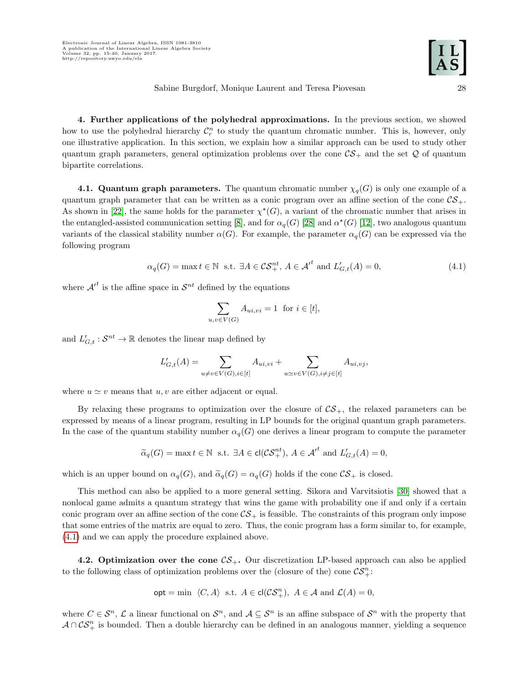<span id="page-14-0"></span>4. Further applications of the polyhedral approximations. In the previous section, we showed how to use the polyhedral hierarchy  $\mathcal{C}_r^n$  to study the quantum chromatic number. This is, however, only one illustrative application. In this section, we explain how a similar approach can be used to study other quantum graph parameters, general optimization problems over the cone  $\mathcal{CS}_+$  and the set  $\mathcal Q$  of quantum bipartite correlations.

4.1. Quantum graph parameters. The quantum chromatic number  $\chi_q(G)$  is only one example of a quantum graph parameter that can be written as a conic program over an affine section of the cone  $\mathcal{CS}_+$ . As shown in [\[22\]](#page-25-3), the same holds for the parameter  $\chi^*(G)$ , a variant of the chromatic number that arises in the entangled-assisted communication setting [\[8\]](#page-25-16), and for  $\alpha_q(G)$  [\[28\]](#page-26-2) and  $\alpha^*(G)$  [\[12\]](#page-25-17), two analogous quantum variants of the classical stability number  $\alpha(G)$ . For example, the parameter  $\alpha_q(G)$  can be expressed via the following program

<span id="page-14-1"></span>
$$
\alpha_q(G) = \max t \in \mathbb{N} \text{ s.t. } \exists A \in \mathcal{CS}_+^{nt}, A \in \mathcal{A}'^t \text{ and } L'_{G,t}(A) = 0,
$$
\n(4.1)

where  $\mathcal{A}^{t}$  is the affine space in  $\mathcal{S}^{nt}$  defined by the equations

$$
\sum_{u,v \in V(G)} A_{ui,vi} = 1 \text{ for } i \in [t],
$$

and  $L'_{G,t}: \mathcal{S}^{nt} \to \mathbb{R}$  denotes the linear map defined by

$$
L'_{G,t}(A) = \sum_{u \neq v \in V(G), i \in [t]} A_{ui,vi} + \sum_{u \simeq v \in V(G), i \neq j \in [t]} A_{ui,vj},
$$

where  $u \simeq v$  means that  $u, v$  are either adjacent or equal.

By relaxing these programs to optimization over the closure of  $CS_+$ , the relaxed parameters can be expressed by means of a linear program, resulting in LP bounds for the original quantum graph parameters. In the case of the quantum stability number  $\alpha_q(G)$  one derives a linear program to compute the parameter

$$
\widetilde{\alpha}_q(G) = \max t \in \mathbb{N} \text{ s.t. } \exists A \in \text{cl}(\mathcal{CS}_+^{nt}), A \in \mathcal{A}'^t \text{ and } L'_{G,t}(A) = 0,
$$

which is an upper bound on  $\alpha_q(G)$ , and  $\widetilde{\alpha}_q(G) = \alpha_q(G)$  holds if the cone  $\mathcal{CS}_+$  is closed.

This method can also be applied to a more general setting. Sikora and Varvitsiotis [\[30\]](#page-26-3) showed that a nonlocal game admits a quantum strategy that wins the game with probability one if and only if a certain conic program over an affine section of the cone  $\mathcal{CS}_+$  is feasible. The constraints of this program only impose that some entries of the matrix are equal to zero. Thus, the conic program has a form similar to, for example, [\(4.1\)](#page-14-1) and we can apply the procedure explained above.

4.2. Optimization over the cone  $\mathcal{CS}_+$ . Our discretization LP-based approach can also be applied to the following class of optimization problems over the (closure of the) cone  $\mathcal{CS}_{+}^{n}$ :

$$
\mathsf{opt} = \min \ \langle C, A \rangle \ \text{ s.t. } A \in \mathsf{cl}(\mathcal{CS}_+^n), \ A \in \mathcal{A} \ \text{and } \mathcal{L}(A) = 0,
$$

where  $C \in \mathcal{S}^n$ ,  $\mathcal{L}$  a linear functional on  $\mathcal{S}^n$ , and  $\mathcal{A} \subseteq \mathcal{S}^n$  is an affine subspace of  $\mathcal{S}^n$  with the property that  $A \cap \mathcal{CS}_{+}^{n}$  is bounded. Then a double hierarchy can be defined in an analogous manner, yielding a sequence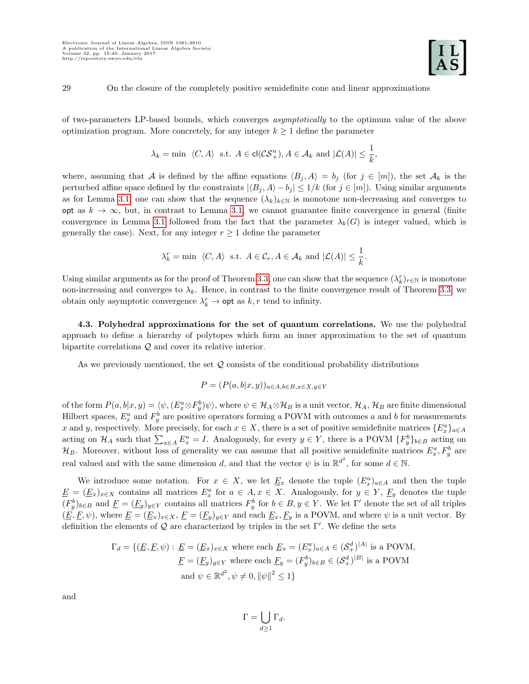of two-parameters LP-based bounds, which converges asymptotically to the optimum value of the above optimization program. More concretely, for any integer  $k \geq 1$  define the parameter

$$
\lambda_k = \min \langle C, A \rangle \text{ s.t. } A \in \text{cl}(\mathcal{CS}_+^n), A \in \mathcal{A}_k \text{ and } |\mathcal{L}(A)| \leq \frac{1}{k},
$$

where, assuming that A is defined by the affine equations  $\langle B_i, A \rangle = b_j$  (for  $j \in [m]$ ), the set  $\mathcal{A}_k$  is the perturbed affine space defined by the constraints  $|\langle B_j, A \rangle - b_j| \leq 1/k$  (for  $j \in [m]$ ). Using similar arguments as for Lemma [3.1,](#page-12-0) one can show that the sequence  $(\lambda_k)_{k\in\mathbb{N}}$  is monotone non-decreasing and converges to opt as  $k \to \infty$ , but, in contrast to Lemma [3.1,](#page-12-0) we cannot guarantee finite convergence in general (finite convergence in Lemma [3.1](#page-12-0) followed from the fact that the parameter  $\lambda_k(G)$  is integer valued, which is generally the case). Next, for any integer  $r \geq 1$  define the parameter

$$
\lambda_k^r = \min \langle C, A \rangle \text{ s.t. } A \in \mathcal{C}_r, A \in \mathcal{A}_k \text{ and } |\mathcal{L}(A)| \leq \frac{1}{k}.
$$

Using similar arguments as for the proof of Theorem [3.3,](#page-12-4) one can show that the sequence  $(\lambda_k^r)_{r \in \mathbb{N}}$  is monotone non-increasing and converges to  $\lambda_k$ . Hence, in contrast to the finite convergence result of Theorem [3.3,](#page-12-4) we obtain only asymptotic convergence  $\lambda_k^r \to \text{opt}$  as  $k, r$  tend to infinity.

4.3. Polyhedral approximations for the set of quantum correlations. We use the polyhedral approach to define a hierarchy of polytopes which form an inner approximation to the set of quantum bipartite correlations Q and cover its relative interior.

As we previously mentioned, the set  $Q$  consists of the conditional probability distributions

$$
P = (P(a,b|x,y))_{a \in A, b \in B, x \in X, y \in Y}
$$

of the form  $P(a, b|x, y) = \langle \psi, (E_x^a \otimes F_y^b) \psi \rangle$ , where  $\psi \in \mathcal{H}_A \otimes \mathcal{H}_B$  is a unit vector,  $\mathcal{H}_A$ ,  $\mathcal{H}_B$  are finite dimensional Hilbert spaces,  $E_x^a$  and  $F_y^b$  are positive operators forming a POVM with outcomes a and b for measurements x and y, respectively. More precisely, for each  $x \in X$ , there is a set of positive semidefinite matrices  $\{E_x^a\}_{a \in A}$ acting on  $\mathcal{H}_A$  such that  $\sum_{a \in A} E_a^a = I$ . Analogously, for every  $y \in Y$ , there is a POVM  $\{F_y^b\}_{b \in B}$  acting on  $\mathcal{H}_B$ . Moreover, without loss of generality we can assume that all positive semidefinite matrices  $E_x^a, F_y^b$  are real valued and with the same dimension d, and that the vector  $\psi$  is in  $\mathbb{R}^{d^2}$ , for some  $d \in \mathbb{N}$ .

We introduce some notation. For  $x \in X$ , we let  $\underline{E}_x$  denote the tuple  $(E_x^a)_{a \in A}$  and then the tuple  $\underline{E} = (\underline{E}_x)_{x \in X}$  contains all matrices  $E_x^a$  for  $a \in A, x \in X$ . Analogously, for  $y \in Y$ ,  $\underline{F}_y$  denotes the tuple  $(F_y^b)_{b \in B}$  and  $\underline{F} = (\underline{F}_y)_{y \in Y}$  contains all matrices  $F_y^b$  for  $b \in B, y \in Y$ . We let  $\Gamma'$  denote the set of all triples  $(\underline{E}, \underline{F}, \psi)$ , where  $\underline{E} = (\underline{E}_x)_{x \in X}$ ,  $\underline{F} = (\underline{F}_y)_{y \in Y}$  and each  $\underline{E}_x$ ,  $\underline{F}_y$  is a POVM, and where  $\psi$  is a unit vector. By definition the elements of  $\mathcal Q$  are characterized by triples in the set Γ'. We define the sets

$$
\Gamma_d = \{ (\underline{E}, \underline{F}, \psi) : \underline{E} = (\underline{E}_x)_{x \in X} \text{ where each } \underline{E}_x = (E_x^a)_{a \in A} \in (\mathcal{S}_+^d)^{|A|} \text{ is a POVM,}
$$

$$
\underline{F} = (\underline{F}_y)_{y \in Y} \text{ where each } \underline{F}_y = (F_y^b)_{b \in B} \in (\mathcal{S}_+^d)^{|B|} \text{ is a POVM}
$$

$$
\text{and } \psi \in \mathbb{R}^{d^2}, \psi \neq 0, \|\psi\|^2 \le 1 \}
$$

and

$$
\Gamma = \bigcup_{d \ge 1} \Gamma_d.
$$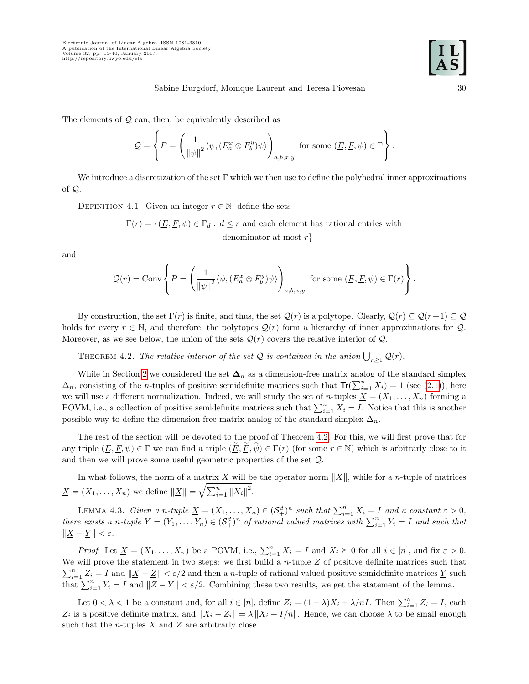The elements of  $Q$  can, then, be equivalently described as

$$
\mathcal{Q} = \left\{ P = \left( \frac{1}{\|\psi\|^2} \langle \psi, (E_a^x \otimes F_b^y) \psi \rangle \right)_{a,b,x,y} \text{ for some } (\underline{E}, \underline{F}, \psi) \in \Gamma \right\}.
$$

We introduce a discretization of the set  $\Gamma$  which we then use to define the polyhedral inner approximations of Q.

DEFINITION 4.1. Given an integer  $r \in \mathbb{N}$ , define the sets

 $\Gamma(r) = \{(\underline{E}, \underline{F}, \psi) \in \Gamma_d : d \leq r \text{ and each element has rational entries with }$ denominator at most  $r$ }

and

$$
Q(r) = \text{Conv}\left\{P = \left(\frac{1}{\|\psi\|^2} \langle \psi, (E_a^x \otimes F_b^y)\psi \rangle\right)_{a,b,x,y} \text{ for some } (\underline{E}, \underline{F}, \psi) \in \Gamma(r)\right\}.
$$

By construction, the set  $\Gamma(r)$  is finite, and thus, the set  $\mathcal{Q}(r)$  is a polytope. Clearly,  $\mathcal{Q}(r) \subseteq \mathcal{Q}(r+1) \subseteq \mathcal{Q}$ holds for every  $r \in \mathbb{N}$ , and therefore, the polytopes  $\mathcal{Q}(r)$  form a hierarchy of inner approximations for  $\mathcal{Q}$ . Moreover, as we see below, the union of the sets  $\mathcal{Q}(r)$  covers the relative interior of  $\mathcal{Q}$ .

<span id="page-16-0"></span>THEOREM 4.2. The relative interior of the set Q is contained in the union  $\bigcup_{r\geq 1} \mathcal{Q}(r)$ .

While in Section [2](#page-6-0) we considered the set  $\Delta_n$  as a dimension-free matrix analog of the standard simplex  $\Delta_n$ , consisting of the *n*-tuples of positive semidefinite matrices such that  $\text{Tr}(\sum_{i=1}^n X_i) = 1$  (see [\(2.1\)](#page-9-1)), here we will use a different normalization. Indeed, we will study the set of *n*-tuples  $\underline{X} = (X_1, \ldots, X_n)$  forming a POVM, i.e., a collection of positive semidefinite matrices such that  $\sum_{i=1}^{n} X_i = I$ . Notice that this is another possible way to define the dimension-free matrix analog of the standard simplex  $\Delta_n$ .

The rest of the section will be devoted to the proof of Theorem [4.2.](#page-16-0) For this, we will first prove that for any triple  $(E, F, \psi) \in \Gamma$  we can find a triple  $(E, F, \psi) \in \Gamma(r)$  (for some  $r \in \mathbb{N}$ ) which is arbitrarly close to it and then we will prove some useful geometric properties of the set Q.

In what follows, the norm of a matrix X will be the operator norm  $||X||$ , while for a n-tuple of matrices  $\underline{X} = (X_1, ..., X_n)$  we define  $\|\underline{X}\| = \sqrt{\sum_{i=1}^n \|X_i\|^2}$ .

LEMMA 4.3. Given a n-tuple  $\underline{X} = (X_1, \ldots, X_n) \in (\mathcal{S}_+^d)^n$  such that  $\sum_{i=1}^n X_i = I$  and a constant  $\varepsilon > 0$ , there exists a n-tuple  $\underline{Y} = (Y_1, \ldots, Y_n) \in (\mathcal{S}_+^d)^n$  of rational valued matrices with  $\sum_{i=1}^n Y_i = I$  and such that  $\|\underline{X} - \underline{Y}\| < \varepsilon.$ 

*Proof.* Let  $\underline{X} = (X_1, \ldots, X_n)$  be a POVM, i.e.,  $\sum_{i=1}^n X_i = I$  and  $X_i \succeq 0$  for all  $i \in [n]$ , and fix  $\varepsilon > 0$ . We will prove the statement in two steps: we first build a *n*-tuple  $Z$  of positive definite matrices such that  $\sum_{i=1}^n Z_i = I$  and  $\|\underline{X} - \underline{Z}\| < \varepsilon/2$  and then a *n*-tuple of rational valued positive semidefinite matrices  $\underline{Y}$  such that  $\sum_{i=1}^{n} Y_i = I$  and  $||Z - Y|| < \varepsilon/2$ . Combining these two results, we get the statement of the lemma.

Let  $0 < \lambda < 1$  be a constant and, for all  $i \in [n]$ , define  $Z_i = (1 - \lambda)X_i + \lambda/nI$ . Then  $\sum_{i=1}^n Z_i = I$ , each  $Z_i$  is a positive definite matrix, and  $||X_i - Z_i|| = \lambda ||X_i + I/n||$ . Hence, we can choose  $\lambda$  to be small enough such that the *n*-tuples  $\underline{X}$  and  $\underline{Z}$  are arbitrarly close.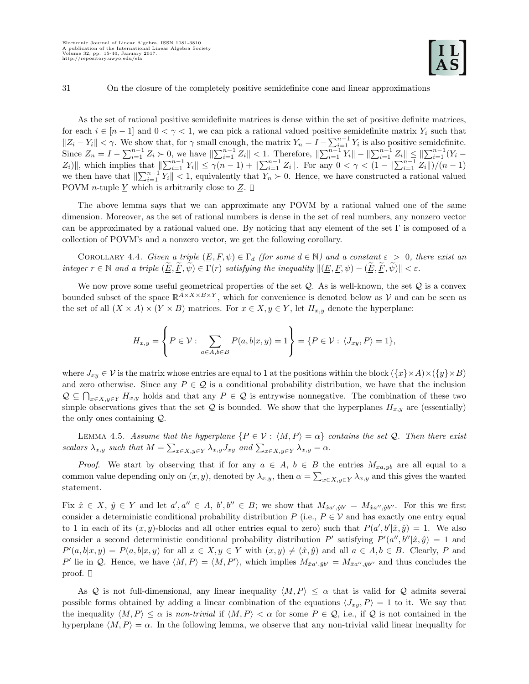As the set of rational positive semidefinite matrices is dense within the set of positive definite matrices, for each  $i \in [n-1]$  and  $0 < \gamma < 1$ , we can pick a rational valued positive semidefinite matrix  $Y_i$  such that  $||Z_i - Y_i|| < \gamma$ . We show that, for  $\gamma$  small enough, the matrix  $Y_n = I - \sum_{i=1}^{n-1} Y_i$  is also positive semidefinite. Since  $Z_n = I - \sum_{i=1}^{n-1} Z_i > 0$ , we have  $\|\sum_{i=1}^{n-1} Z_i\| < 1$ . Therefore,  $\|\sum_{i=1}^{n-1} Y_i\| - \|\sum_{i=1}^{n-1} Z_i\| \leq \|\sum_{i=1}^{n-1} (Y_i |Z_i\rangle\|$ , which implies that  $\|\sum_{i=1}^{n-1} Y_i\| \leq \gamma(n-1) + \|\sum_{i=1}^{n-1} Z_i\|$ . For any  $0 < \gamma < (1 - \|\sum_{i=1}^{n-1} Z_i\|)/\gamma(n-1)$ we then have that  $\|\sum_{i=1}^{n-1} Y_i\| < 1$ , equivalently that  $Y_n > 0$ . Hence, we have constructed a rational valued POVM *n*-tuple  $\underline{Y}$  which is arbitrarily close to  $\underline{Z}$ .  $\square$ 

The above lemma says that we can approximate any POVM by a rational valued one of the same dimension. Moreover, as the set of rational numbers is dense in the set of real numbers, any nonzero vector can be approximated by a rational valued one. By noticing that any element of the set  $\Gamma$  is composed of a collection of POVM's and a nonzero vector, we get the following corollary.

<span id="page-17-0"></span>COROLLARY 4.4. Given a triple  $(\underline{E}, \underline{F}, \psi) \in \Gamma_d$  (for some  $d \in \mathbb{N}$ ) and a constant  $\varepsilon > 0$ , there exist an integer  $r \in \mathbb{N}$  and a triple  $(\underline{E}, \underline{F}, \psi) \in \Gamma(r)$  satisfying the inequality  $\|(\underline{E}, \underline{F}, \psi) - (\underline{\widetilde{E}}, \underline{\widetilde{F}}, \widetilde{\psi})\| < \varepsilon$ .

We now prove some useful geometrical properties of the set  $Q$ . As is well-known, the set  $Q$  is a convex bounded subset of the space  $\mathbb{R}^{A \times X \times B \times Y}$ , which for convenience is denoted below as V and can be seen as the set of all  $(X \times A) \times (Y \times B)$  matrices. For  $x \in X, y \in Y$ , let  $H_{x,y}$  denote the hyperplane:

$$
H_{x,y} = \left\{ P \in \mathcal{V} : \sum_{a \in A, b \in B} P(a,b|x,y) = 1 \right\} = \{ P \in \mathcal{V} : \langle J_{xy}, P \rangle = 1 \},
$$

where  $J_{xy} \in \mathcal{V}$  is the matrix whose entries are equal to 1 at the positions within the block  $(\{x\}\times A)\times(\{y\}\times B)$ and zero otherwise. Since any  $P \in \mathcal{Q}$  is a conditional probability distribution, we have that the inclusion  $\mathcal{Q} \subseteq \bigcap_{x \in X, y \in Y} H_{x,y}$  holds and that any  $P \in \mathcal{Q}$  is entrywise nonnegative. The combination of these two simple observations gives that the set  $Q$  is bounded. We show that the hyperplanes  $H_{x,y}$  are (essentially) the only ones containing Q.

<span id="page-17-1"></span>LEMMA 4.5. Assume that the hyperplane  $\{P \in \mathcal{V} : \langle M, P \rangle = \alpha\}$  contains the set Q. Then there exist scalars  $\lambda_{x,y}$  such that  $M = \sum_{x \in X, y \in Y} \lambda_{x,y} J_{xy}$  and  $\sum_{x \in X, y \in Y} \lambda_{x,y} = \alpha$ .

*Proof.* We start by observing that if for any  $a \in A$ ,  $b \in B$  the entries  $M_{xa, yb}$  are all equal to a common value depending only on  $(x, y)$ , denoted by  $\lambda_{x,y}$ , then  $\alpha = \sum_{x \in X, y \in Y} \lambda_{x,y}$  and this gives the wanted statement.

Fix  $\hat{x} \in X$ ,  $\hat{y} \in Y$  and let  $a', a'' \in A$ ,  $b', b'' \in B$ ; we show that  $M_{\hat{x}a', \hat{y}b'} = M_{\hat{x}a'', \hat{y}b''}$ . For this we first consider a deterministic conditional probability distribution P (i.e.,  $P \in V$  and has exactly one entry equal to 1 in each of its  $(x, y)$ -blocks and all other entries equal to zero) such that  $P(a', b' | \hat{x}, \hat{y}) = 1$ . We also consider a second deterministic conditional probability distribution P' satisfying  $P'(a'', b'' | \hat{x}, \hat{y}) = 1$  and  $P'(a, b|x, y) = P(a, b|x, y)$  for all  $x \in X, y \in Y$  with  $(x, y) \neq (\hat{x}, \hat{y})$  and all  $a \in A, b \in B$ . Clearly, P and P' lie in Q. Hence, we have  $\langle M, P \rangle = \langle M, P' \rangle$ , which implies  $M_{\hat{x}a', \hat{y}b'} = M_{\hat{x}a'', \hat{y}b''}$  and thus concludes the proof.  $\square$ 

As Q is not full-dimensional, any linear inequality  $\langle M, P \rangle \leq \alpha$  that is valid for Q admits several possible forms obtained by adding a linear combination of the equations  $\langle J_{xy}, P \rangle = 1$  to it. We say that the inequality  $\langle M, P \rangle \leq \alpha$  is non-trivial if  $\langle M, P \rangle < \alpha$  for some  $P \in \mathcal{Q}$ , i.e., if  $\mathcal Q$  is not contained in the hyperplane  $\langle M, P \rangle = \alpha$ . In the following lemma, we observe that any non-trivial valid linear inequality for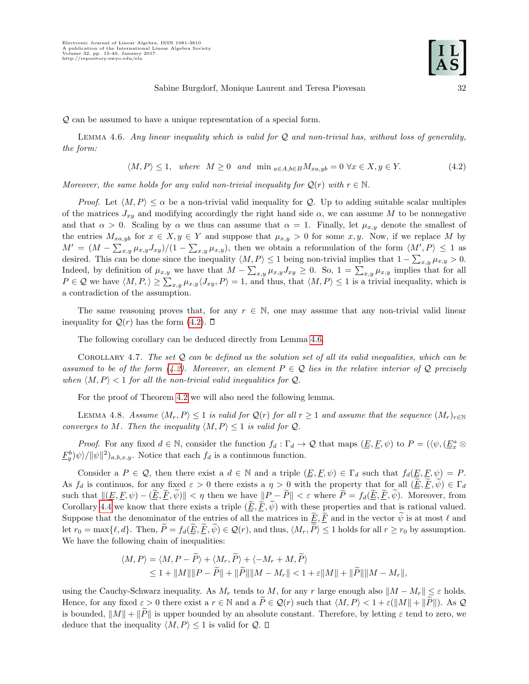<span id="page-18-1"></span>Q can be assumed to have a unique representation of a special form.

LEMMA 4.6. Any linear inequality which is valid for  $Q$  and non-trivial has, without loss of generality, the form:

<span id="page-18-0"></span>
$$
\langle M, P \rangle \le 1, \quad where \quad M \ge 0 \quad and \quad \min_{a \in A, b \in B} M_{xa, yb} = 0 \quad \forall x \in X, y \in Y. \tag{4.2}
$$

Moreover, the same holds for any valid non-trivial inequality for  $\mathcal{Q}(r)$  with  $r \in \mathbb{N}$ .

*Proof.* Let  $\langle M, P \rangle \leq \alpha$  be a non-trivial valid inequality for Q. Up to adding suitable scalar multiples of the matrices  $J_{xy}$  and modifying accordingly the right hand side  $\alpha$ , we can assume M to be nonnegative and that  $\alpha > 0$ . Scaling by  $\alpha$  we thus can assume that  $\alpha = 1$ . Finally, let  $\mu_{x,y}$  denote the smallest of the entries  $M_{xa, yb}$  for  $x \in X, y \in Y$  and suppose that  $\mu_{x, y} > 0$  for some  $x, y$ . Now, if we replace M by  $M' = (M - \sum_{x,y} \mu_{x,y} J_{xy})/(1 - \sum_{x,y} \mu_{x,y}),$  then we obtain a reformulation of the form  $\langle M', P \rangle \leq 1$  as desired. This can be done since the inequality  $\langle M, P \rangle \leq 1$  being non-trivial implies that  $1 - \sum_{x,y} \mu_{x,y} > 0$ . Indeed, by definition of  $\mu_{x,y}$  we have that  $M - \sum_{x,y} \mu_{x,y} J_{xy} \geq 0$ . So,  $1 = \sum_{x,y} \mu_{x,y}$  implies that for all  $P \in \mathcal{Q}$  we have  $\langle M, P \rangle \geq \sum_{x,y} \mu_{x,y} \langle J_{xy}, P \rangle = 1$ , and thus, that  $\langle M, P \rangle \leq 1$  is a trivial inequality, which is a contradiction of the assumption.

The same reasoning proves that, for any  $r \in \mathbb{N}$ , one may assume that any non-trivial valid linear inequality for  $Q(r)$  has the form [\(4.2\)](#page-18-0).  $\square$ 

The following corollary can be deduced directly from Lemma [4.6.](#page-18-1)

<span id="page-18-3"></span>COROLLARY 4.7. The set  $Q$  can be defined as the solution set of all its valid inequalities, which can be assumed to be of the form [\(4.2\)](#page-18-0). Moreover, an element  $P \in \mathcal{Q}$  lies in the relative interior of  $\mathcal{Q}$  precisely when  $\langle M, P \rangle < 1$  for all the non-trivial valid inequalities for Q.

For the proof of Theorem [4.2](#page-16-0) we will also need the following lemma.

<span id="page-18-2"></span>LEMMA 4.8. Assume  $\langle M_r, P \rangle \leq 1$  is valid for  $\mathcal{Q}(r)$  for all  $r \geq 1$  and assume that the sequence  $(M_r)_{r \in \mathbb{N}}$ converges to M. Then the inequality  $\langle M, P \rangle \leq 1$  is valid for  $Q$ .

*Proof.* For any fixed  $d \in \mathbb{N}$ , consider the function  $f_d : \Gamma_d \to \mathcal{Q}$  that maps  $(\underline{E}, \underline{F}, \psi)$  to  $P = (\langle \psi, (\underline{E_x^a} \otimes \overline{E_y^a}, \underline{F_y^a}, \psi \rangle)$  $\underline{F}_y^b$   $\psi \rangle / ||\psi||^2$   $]_{a,b,x,y}$ . Notice that each  $f_d$  is a continuous function.

Consider a  $P \in \mathcal{Q}$ , then there exist a  $d \in \mathbb{N}$  and a triple  $(E, E, \psi) \in \Gamma_d$  such that  $f_d(E, E, \psi) = P$ . As  $f_d$  is continuos, for any fixed  $\varepsilon > 0$  there exists a  $\eta > 0$  with the property that for all  $(\underline{E}, \underline{F}, \psi) \in \Gamma_d$ such that  $\|(\underline{E}, \underline{F}, \psi) - (\underline{\widetilde{E}}, \underline{\widetilde{F}}, \widetilde{\psi})\| < \eta$  then we have  $\|P - \widetilde{P}\| < \varepsilon$  where  $\widetilde{P} = f_d(\underline{\widetilde{E}}, \underline{\widetilde{F}}, \widetilde{\psi})$ . Moreover, from Corollary [4.4](#page-17-0) we know that there exists a triple  $(E, \overline{F}, \psi)$  with these properties and that is rational valued. Suppose that the denominator of the entries of all the matrices in  $\underline{E}, \underline{F}$  and in the vector  $\psi$  is at most  $\ell$  and let  $r_0 = \max\{\ell, d\}$ . Then,  $P = f_d(\underline{E}, \overline{F}, \psi) \in \mathcal{Q}(r)$ , and thus,  $\langle M_r, P \rangle \leq 1$  holds for all  $r \geq r_0$  by assumption. We have the following chain of inequalities:

$$
\langle M, P \rangle = \langle M, P - \widetilde{P} \rangle + \langle M_r, \widetilde{P} \rangle + \langle -M_r + M, \widetilde{P} \rangle
$$
  

$$
\leq 1 + ||M|| ||P - \widetilde{P}|| + ||\widetilde{P}|| ||M - M_r|| < 1 + \varepsilon ||M|| + ||\widetilde{P}|| ||M - M_r||,
$$

using the Cauchy-Schwarz inequality. As  $M_r$  tends to M, for any r large enough also  $||M - M_r|| \leq \varepsilon$  holds. Hence, for any fixed  $\varepsilon > 0$  there exist a  $r \in \mathbb{N}$  and a  $\widetilde{P} \in \mathcal{Q}(r)$  such that  $\langle M, P \rangle < 1 + \varepsilon (\|M\| + \|\widetilde{P}\|)$ . As  $\mathcal Q$ is bounded,  $||M|| + ||P||$  is upper bounded by an absolute constant. Therefore, by letting  $\varepsilon$  tend to zero, we deduce that the inequality  $\langle M, P \rangle \leq 1$  is valid for  $Q$ .  $\Box$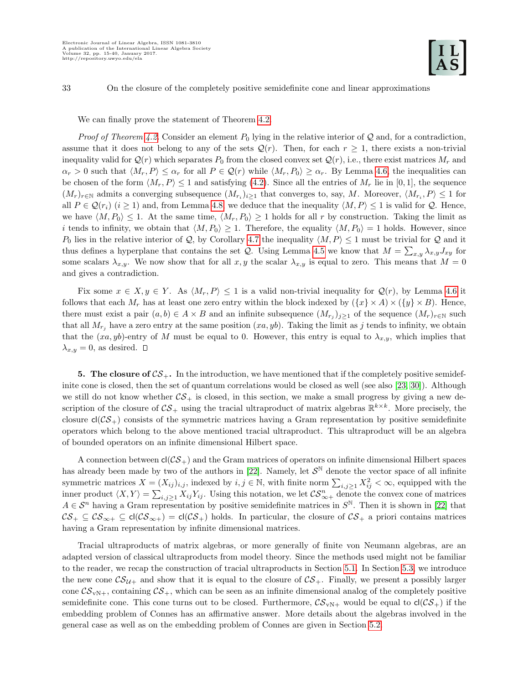We can finally prove the statement of Theorem [4.2.](#page-16-0)

*Proof of Theorem [4.2.](#page-16-0)* Consider an element  $P_0$  lying in the relative interior of Q and, for a contradiction, assume that it does not belong to any of the sets  $\mathcal{Q}(r)$ . Then, for each  $r \geq 1$ , there exists a non-trivial inequality valid for  $\mathcal{Q}(r)$  which separates  $P_0$  from the closed convex set  $\mathcal{Q}(r)$ , i.e., there exist matrices  $M_r$  and  $\alpha_r > 0$  such that  $\langle M_r, P \rangle \leq \alpha_r$  for all  $P \in \mathcal{Q}(r)$  while  $\langle M_r, P_0 \rangle \geq \alpha_r$ . By Lemma [4.6,](#page-18-1) the inequalities can be chosen of the form  $\langle M_r, P \rangle \le 1$  and satisfying [\(4.2\)](#page-18-0). Since all the entries of  $M_r$  lie in [0, 1], the sequence  $(M_r)_{r \in \mathbb{N}}$  admits a converging subsequence  $(M_{r_i})_{i \geq 1}$  that converges to, say, M. Moreover,  $\langle M_{r_i}, P \rangle \leq 1$  for all  $P \in \mathcal{Q}(r_i)$  (i ≥ 1) and, from Lemma [4.8,](#page-18-2) we deduce that the inequality  $\langle M, P \rangle \leq 1$  is valid for  $\mathcal{Q}$ . Hence, we have  $\langle M, P_0 \rangle \leq 1$ . At the same time,  $\langle M_r, P_0 \rangle \geq 1$  holds for all r by construction. Taking the limit as i tends to infinity, we obtain that  $\langle M, P_0 \rangle \geq 1$ . Therefore, the equality  $\langle M, P_0 \rangle = 1$  holds. However, since P<sub>0</sub> lies in the relative interior of Q, by Corollary [4.7](#page-18-3) the inequality  $\langle M, P \rangle \leq 1$  must be trivial for Q and it thus defines a hyperplane that contains the set Q. Using Lemma [4.5](#page-17-1) we know that  $M = \sum_{x,y} \lambda_{x,y} J_{xy}$  for some scalars  $\lambda_{x,y}$ . We now show that for all x, y the scalar  $\lambda_{x,y}$  is equal to zero. This means that  $M = 0$ and gives a contradiction.

Fix some  $x \in X, y \in Y$ . As  $\langle M_r, P \rangle \leq 1$  is a valid non-trivial inequality for  $\mathcal{Q}(r)$ , by Lemma [4.6](#page-18-1) it follows that each  $M_r$  has at least one zero entry within the block indexed by  $({x} \times A) \times ({y} \times B)$ . Hence, there must exist a pair  $(a, b) \in A \times B$  and an infinite subsequence  $(M_{r_j})_{j \geq 1}$  of the sequence  $(M_r)_{r \in \mathbb{N}}$  such that all  $M_{r_i}$  have a zero entry at the same position  $(xa, yb)$ . Taking the limit as j tends to infinity, we obtain that the  $(xa, yb)$ -entry of M must be equal to 0. However, this entry is equal to  $\lambda_{x,y}$ , which implies that  $\lambda_{x,y} = 0$ , as desired.  $\square$ 

<span id="page-19-0"></span>5. The closure of  $CS_+$ . In the introduction, we have mentioned that if the completely positive semidefinite cone is closed, then the set of quantum correlations would be closed as well (see also [\[23,](#page-25-5) [30\]](#page-26-3)). Although we still do not know whether  $\mathcal{CS}_+$  is closed, in this section, we make a small progress by giving a new description of the closure of  $\mathcal{CS}_+$  using the tracial ultraproduct of matrix algebras  $\mathbb{R}^{k \times k}$ . More precisely, the closure  $cl(\mathcal{CS}_+)$  consists of the symmetric matrices having a Gram representation by positive semidefinite operators which belong to the above mentioned tracial ultraproduct. This ultraproduct will be an algebra of bounded operators on an infinite dimensional Hilbert space.

A connection between  $cl(CS_+)$  and the Gram matrices of operators on infinite dimensional Hilbert spaces has already been made by two of the authors in [\[22\]](#page-25-3). Namely, let  $S^{\mathbb{N}}$  denote the vector space of all infinite symmetric matrices  $X = (X_{ij})_{i,j}$ , indexed by  $i, j \in \mathbb{N}$ , with finite norm  $\sum_{i,j\geq 1} X_{ij}^2 < \infty$ , equipped with the inner product  $\langle X, Y \rangle = \sum_{i,j\geq 1} X_{ij} Y_{ij}$ . Using this notation, we let  $\mathcal{CS}_{\infty+}^n$  denote the convex cone of matrices  $A \in \mathcal{S}^n$  having a Gram representation by positive semidefinite matrices in  $\mathcal{S}^{\mathbb{N}}$ . Then it is shown in [\[22\]](#page-25-3) that  $CS_+ \subseteq CS_{\infty+} \subseteq \text{cl}(\mathcal{CS}_{\infty+}) = \text{cl}(\mathcal{CS}_+)$  holds. In particular, the closure of  $CS_+$  a priori contains matrices having a Gram representation by infinite dimensional matrices.

Tracial ultraproducts of matrix algebras, or more generally of finite von Neumann algebras, are an adapted version of classical ultraproducts from model theory. Since the methods used might not be familiar to the reader, we recap the construction of tracial ultraproducts in Section [5.1.](#page-20-0) In Section [5.3,](#page-22-0) we introduce the new cone  $CS_{\mathcal{U}+}$  and show that it is equal to the closure of  $CS_+$ . Finally, we present a possibly larger cone  $\mathcal{CS}_{\nu N+}$ , containing  $\mathcal{CS}_{+}$ , which can be seen as an infinite dimensional analog of the completely positive semidefinite cone. This cone turns out to be closed. Furthermore,  $\mathcal{CS}_{vN+}$  would be equal to  $cl(\mathcal{CS}_+)$  if the embedding problem of Connes has an affirmative answer. More details about the algebras involved in the general case as well as on the embedding problem of Connes are given in Section [5.2.](#page-21-0)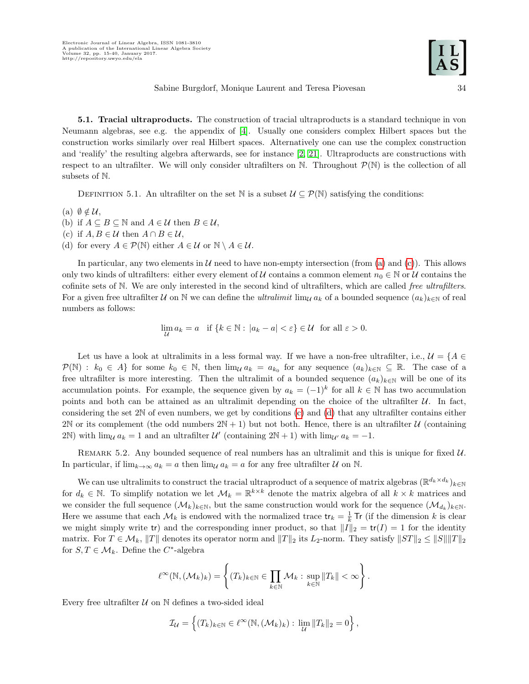<span id="page-20-0"></span>5.1. Tracial ultraproducts. The construction of tracial ultraproducts is a standard technique in von Neumann algebras, see e.g. the appendix of [\[4\]](#page-25-18). Usually one considers complex Hilbert spaces but the construction works similarly over real Hilbert spaces. Alternatively one can use the complex construction and 'realify' the resulting algebra afterwards, see for instance [\[2,](#page-25-19) [21\]](#page-25-20). Ultraproducts are constructions with respect to an ultrafilter. We will only consider ultrafilters on  $\mathbb N$ . Throughout  $\mathcal P(\mathbb N)$  is the collection of all subsets of N.

DEFINITION 5.1. An ultrafilter on the set N is a subset  $\mathcal{U} \subseteq \mathcal{P}(\mathbb{N})$  satisfying the conditions:

- <span id="page-20-1"></span>(a)  $\emptyset \notin \mathcal{U}$ ,
- (b) if  $A \subseteq B \subseteq \mathbb{N}$  and  $A \in \mathcal{U}$  then  $B \in \mathcal{U}$ ,
- <span id="page-20-2"></span>(c) if  $A, B \in \mathcal{U}$  then  $A \cap B \in \mathcal{U}$ ,
- <span id="page-20-3"></span>(d) for every  $A \in \mathcal{P}(\mathbb{N})$  either  $A \in \mathcal{U}$  or  $\mathbb{N} \setminus A \in \mathcal{U}$ .

In particular, any two elements in  $\mathcal U$  need to have non-empty intersection (from [\(a\)](#page-20-1) and [\(c\)](#page-20-2)). This allows only two kinds of ultrafilters: either every element of U contains a common element  $n_0 \in \mathbb{N}$  or U contains the cofinite sets of N. We are only interested in the second kind of ultrafilters, which are called free ultrafilters. For a given free ultrafilter U on N we can define the *ultralimit* lim<sub>U</sub>  $a_k$  of a bounded sequence  $(a_k)_{k\in\mathbb{N}}$  of real numbers as follows:

$$
\lim_{\mathcal{U}} a_k = a \quad \text{if } \{k \in \mathbb{N} : |a_k - a| < \varepsilon\} \in \mathcal{U} \quad \text{for all } \varepsilon > 0.
$$

Let us have a look at ultralimits in a less formal way. If we have a non-free ultrafilter, i.e.,  $\mathcal{U} = \{A \in$  $\mathcal{P}(\mathbb{N}) : k_0 \in A$  for some  $k_0 \in \mathbb{N}$ , then  $\lim_{\mathcal{U}} a_k = a_{k_0}$  for any sequence  $(a_k)_{k \in \mathbb{N}} \subseteq \mathbb{R}$ . The case of a free ultrafilter is more interesting. Then the ultralimit of a bounded sequence  $(a_k)_{k\in\mathbb{N}}$  will be one of its accumulation points. For example, the sequence given by  $a_k = (-1)^k$  for all  $k \in \mathbb{N}$  has two accumulation points and both can be attained as an ultralimit depending on the choice of the ultrafilter  $U$ . In fact, considering the set 2N of even numbers, we get by conditions [\(c\)](#page-20-2) and [\(d\)](#page-20-3) that any ultrafilter contains either 2N or its complement (the odd numbers  $2N + 1$ ) but not both. Hence, there is an ultrafilter U (containing 2N) with  $\lim_{\mathcal{U}} a_k = 1$  and an ultrafilter  $\mathcal{U}'$  (containing  $2N + 1$ ) with  $\lim_{\mathcal{U}'} a_k = -1$ .

<span id="page-20-4"></span>REMARK 5.2. Any bounded sequence of real numbers has an ultralimit and this is unique for fixed  $\mathcal{U}$ . In particular, if  $\lim_{k\to\infty} a_k = a$  then  $\lim_{\mathcal{U}} a_k = a$  for any free ultrafilter  $\mathcal U$  on  $\mathbb N$ .

We can use ultralimits to construct the tracial ultraproduct of a sequence of matrix algebras  $(\mathbb{R}^{d_k \times d_k})_{k \in \mathbb{N}}$ for  $d_k \in \mathbb{N}$ . To simplify notation we let  $\mathcal{M}_k = \mathbb{R}^{k \times k}$  denote the matrix algebra of all  $k \times k$  matrices and we consider the full sequence  $(\mathcal{M}_k)_{k\in\mathbb{N}}$ , but the same construction would work for the sequence  $(\mathcal{M}_{d_k})_{k\in\mathbb{N}}$ . Here we assume that each  $\mathcal{M}_k$  is endowed with the normalized trace  $\text{tr}_k = \frac{1}{k} \text{Tr}$  (if the dimension k is clear we might simply write tr) and the corresponding inner product, so that  $||I||_2 = \text{tr}(I) = 1$  for the identity matrix. For  $T \in \mathcal{M}_k$ ,  $||T||$  denotes its operator norm and  $||T||_2$  its  $L_2$ -norm. They satisfy  $||ST||_2 \leq ||S|| ||T||_2$ for  $S, T \in \mathcal{M}_k$ . Define the  $C^*$ -algebra

$$
\ell^{\infty}(\mathbb{N},(\mathcal{M}_{k})_{k})=\left\{(T_{k})_{k\in\mathbb{N}}\in\prod_{k\in\mathbb{N}}\mathcal{M}_{k}: \sup_{k\in\mathbb{N}}\|T_{k}\|<\infty\right\}.
$$

Every free ultrafilter  $U$  on  $N$  defines a two-sided ideal

$$
\mathcal{I}_{\mathcal{U}} = \left\{ (T_k)_{k \in \mathbb{N}} \in \ell^{\infty}(\mathbb{N}, (\mathcal{M}_k)_k) : \lim_{\mathcal{U}} \|T_k\|_2 = 0 \right\},\,
$$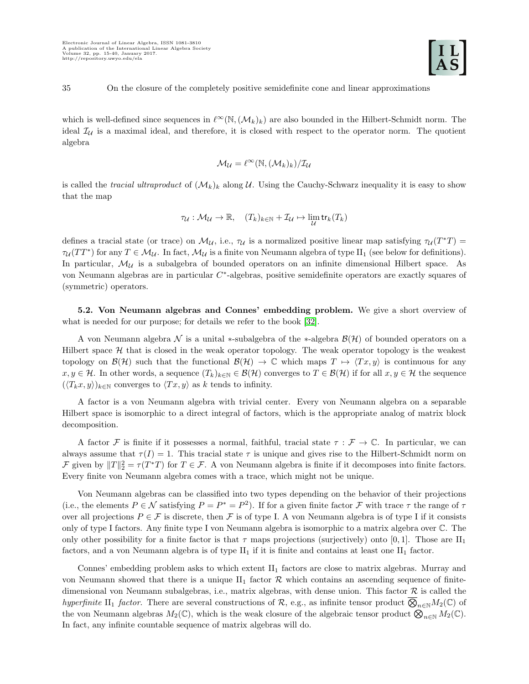which is well-defined since sequences in  $\ell^{\infty}(\mathbb{N},(\mathcal{M}_k)_k)$  are also bounded in the Hilbert-Schmidt norm. The ideal  $\mathcal{I}_U$  is a maximal ideal, and therefore, it is closed with respect to the operator norm. The quotient algebra

$$
\mathcal{M}_{\mathcal{U}}=\ell^{\infty}(\mathbb{N},(\mathcal{M}_{k})_{k})/\mathcal{I}_{\mathcal{U}}
$$

is called the tracial ultraproduct of  $(\mathcal{M}_k)_k$  along U. Using the Cauchy-Schwarz inequality it is easy to show that the map

$$
\tau_{\mathcal{U}}: \mathcal{M}_{\mathcal{U}} \to \mathbb{R}, \quad (T_k)_{k \in \mathbb{N}} + \mathcal{I}_{\mathcal{U}} \mapsto \lim_{\mathcal{U}} \mathsf{tr}_k(T_k)
$$

defines a tracial state (or trace) on  $\mathcal{M}_{\mathcal{U}}$ , i.e.,  $\tau_{\mathcal{U}}$  is a normalized positive linear map satisfying  $\tau_{\mathcal{U}}(T^*T)$  =  $\tau_{\mathcal{U}}(TT^*)$  for any  $T \in \mathcal{M}_{\mathcal{U}}$ . In fact,  $\mathcal{M}_{\mathcal{U}}$  is a finite von Neumann algebra of type II<sub>1</sub> (see below for definitions). In particular,  $\mathcal{M}_U$  is a subalgebra of bounded operators on an infinite dimensional Hilbert space. As von Neumann algebras are in particular C<sup>\*</sup>-algebras, positive semidefinite operators are exactly squares of (symmetric) operators.

<span id="page-21-0"></span>5.2. Von Neumann algebras and Connes' embedding problem. We give a short overview of what is needed for our purpose; for details we refer to the book [\[32\]](#page-26-6).

A von Neumann algebra  $\mathcal N$  is a unital  $*$ -subalgebra of the  $*$ -algebra  $\mathcal B(\mathcal H)$  of bounded operators on a Hilbert space  $H$  that is closed in the weak operator topology. The weak operator topology is the weakest topology on  $\mathcal{B}(\mathcal{H})$  such that the functional  $\mathcal{B}(\mathcal{H}) \to \mathbb{C}$  which maps  $T \mapsto \langle Tx, y \rangle$  is continuous for any  $x, y \in \mathcal{H}$ . In other words, a sequence  $(T_k)_{k \in \mathbb{N}} \in \mathcal{B}(\mathcal{H})$  converges to  $T \in \mathcal{B}(\mathcal{H})$  if for all  $x, y \in \mathcal{H}$  the sequence  $(\langle T_k x, y \rangle)_{k \in \mathbb{N}}$  converges to  $\langle Tx, y \rangle$  as k tends to infinity.

A factor is a von Neumann algebra with trivial center. Every von Neumann algebra on a separable Hilbert space is isomorphic to a direct integral of factors, which is the appropriate analog of matrix block decomposition.

A factor F is finite if it possesses a normal, faithful, tracial state  $\tau : \mathcal{F} \to \mathbb{C}$ . In particular, we can always assume that  $\tau(I) = 1$ . This tracial state  $\tau$  is unique and gives rise to the Hilbert-Schmidt norm on F given by  $||T||_2^2 = \tau(T^*T)$  for  $T \in \mathcal{F}$ . A von Neumann algebra is finite if it decomposes into finite factors. Every finite von Neumann algebra comes with a trace, which might not be unique.

Von Neumann algebras can be classified into two types depending on the behavior of their projections (i.e., the elements  $P \in \mathcal{N}$  satisfying  $P = P^* = P^2$ ). If for a given finite factor  $\mathcal F$  with trace  $\tau$  the range of  $\tau$ over all projections  $P \in \mathcal{F}$  is discrete, then  $\mathcal{F}$  is of type I. A von Neumann algebra is of type I if it consists only of type I factors. Any finite type I von Neumann algebra is isomorphic to a matrix algebra over C. The only other possibility for a finite factor is that  $\tau$  maps projections (surjectively) onto [0, 1]. Those are  $II_1$ factors, and a von Neumann algebra is of type  $II_1$  if it is finite and contains at least one  $II_1$  factor.

Connes' embedding problem asks to which extent  $II_1$  factors are close to matrix algebras. Murray and von Neumann showed that there is a unique  $II_1$  factor  $R$  which contains an ascending sequence of finitedimensional von Neumann subalgebras, i.e., matrix algebras, with dense union. This factor  $\mathcal R$  is called the hyperfinite II<sub>1</sub> factor. There are several constructions of R, e.g., as infinite tensor product  $\overline{\bigotimes}_{n\in\mathbb{N}}M_2(\mathbb{C})$  of the von Neumann algebras  $M_2(\mathbb{C})$ , which is the weak closure of the algebraic tensor product  $\bigotimes_{n\in\mathbb{N}} M_2(\mathbb{C})$ . In fact, any infinite countable sequence of matrix algebras will do.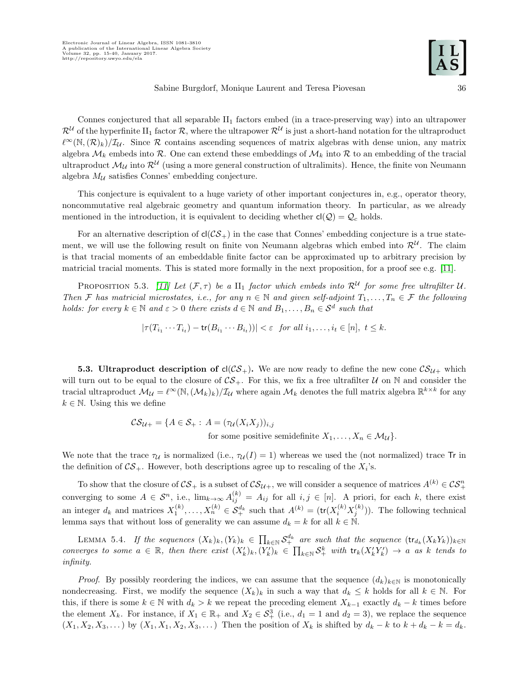Connes conjectured that all separable  $II_1$  factors embed (in a trace-preserving way) into an ultrapower  $\mathcal{R}^U$  of the hyperfinite II<sub>1</sub> factor  $\mathcal{R}$ , where the ultrapower  $\mathcal{R}^U$  is just a short-hand notation for the ultraproduct  $\ell^{\infty}(\mathbb{N},(\mathcal{R})_k)/\mathcal{I}_{\mathcal{U}}$ . Since R contains ascending sequences of matrix algebras with dense union, any matrix algebra  $\mathcal{M}_k$  embeds into  $\mathcal{R}$ . One can extend these embeddings of  $\mathcal{M}_k$  into  $\mathcal{R}$  to an embedding of the tracial ultraproduct  $\mathcal{M}_{\mathcal{U}}$  into  $\mathcal{R}^{\mathcal{U}}$  (using a more general construction of ultralimits). Hence, the finite von Neumann algebra  $M_{\mathcal{U}}$  satisfies Connes' embedding conjecture.

This conjecture is equivalent to a huge variety of other important conjectures in, e.g., operator theory, noncommutative real algebraic geometry and quantum information theory. In particular, as we already mentioned in the introduction, it is equivalent to deciding whether  $cl(Q) = Q_c$  holds.

For an alternative description of  $cl(\mathcal{CS}_+)$  in the case that Connes' embedding conjecture is a true statement, we will use the following result on finite von Neumann algebras which embed into  $\mathcal{R}^{\mathcal{U}}$ . The claim is that tracial moments of an embeddable finite factor can be approximated up to arbitrary precision by matricial tracial moments. This is stated more formally in the next proposition, for a proof see e.g. [\[11\]](#page-25-21).

<span id="page-22-2"></span>PROPOSITION 5.3. [\[11\]](#page-25-21) Let  $(\mathcal{F}, \tau)$  be a  $\text{II}_1$  factor which embeds into  $\mathcal{R}^{\mathcal{U}}$  for some free ultrafilter U. Then F has matricial microstates, i.e., for any  $n \in \mathbb{N}$  and given self-adjoint  $T_1, \ldots, T_n \in \mathcal{F}$  the following holds: for every  $k \in \mathbb{N}$  and  $\varepsilon > 0$  there exists  $d \in \mathbb{N}$  and  $B_1, \ldots, B_n \in \mathcal{S}^d$  such that

$$
|\tau(T_{i_1}\cdots T_{i_t}) - \mathsf{tr}(B_{i_1}\cdots B_{i_t}))| < \varepsilon \text{ for all } i_1,\ldots, i_t \in [n], t \leq k.
$$

<span id="page-22-0"></span>**5.3.** Ultraproduct description of  $cl(\mathcal{CS}_+)$ . We are now ready to define the new cone  $\mathcal{CS}_{\mathcal{U}+}$  which will turn out to be equal to the closure of  $CS_+$ . For this, we fix a free ultrafilter U on N and consider the tracial ultraproduct  $\mathcal{M}_\mathcal{U} = \ell^{\infty}(\mathbb{N}, (\mathcal{M}_k)_k)/\mathcal{I}_\mathcal{U}$  where again  $\mathcal{M}_k$  denotes the full matrix algebra  $\mathbb{R}^{k \times k}$  for any  $k \in \mathbb{N}$ . Using this we define

$$
\mathcal{CS}_{\mathcal{U}+} = \{ A \in \mathcal{S}_+ : A = (\tau_{\mathcal{U}}(X_i X_j))_{i,j} \text{ for some positive semidefinite } X_1, \dots, X_n \in \mathcal{M}_{\mathcal{U}} \}.
$$

We note that the trace  $\tau_{\mathcal{U}}$  is normalized (i.e.,  $\tau_{\mathcal{U}}(I) = 1$ ) whereas we used the (not normalized) trace Tr in the definition of  $\mathcal{CS}_+$ . However, both descriptions agree up to rescaling of the  $X_i$ 's.

To show that the closure of  $CS_+$  is a subset of  $CS_{\mathcal{U}^+}$ , we will consider a sequence of matrices  $A^{(k)} \in \mathcal{CS}_+^n$ converging to some  $A \in \mathcal{S}^n$ , i.e.,  $\lim_{k\to\infty} A_{ij}^{(k)} = A_{ij}$  for all  $i, j \in [n]$ . A priori, for each k, there exist an integer  $d_k$  and matrices  $X_1^{(k)}, \ldots, X_n^{(k)} \in \mathcal{S}_+^{d_k}$  such that  $A^{(k)} = (\text{tr}(X_i^{(k)} X_j^{(k)}))$ . The following technical lemma says that without loss of generality we can assume  $d_k = k$  for all  $k \in \mathbb{N}$ .

<span id="page-22-1"></span>LEMMA 5.4. If the sequences  $(X_k)_k, (Y_k)_k \in \prod_{k \in \mathbb{N}} \mathcal{S}_+^{d_k}$  are such that the sequence  $(\text{tr}_{d_k}(X_k Y_k))_{k \in \mathbb{N}}$ converges to some  $a \in \mathbb{R}$ , then there exist  $(X'_k)_k, (Y'_k)_k \in \prod_{k \in \mathbb{N}} S^k_+$  with  $tr_k(X'_k Y'_k) \to a$  as k tends to infinity.

*Proof.* By possibly reordering the indices, we can assume that the sequence  $(d_k)_{k\in\mathbb{N}}$  is monotonically nondecreasing. First, we modify the sequence  $(X_k)_k$  in such a way that  $d_k \leq k$  holds for all  $k \in \mathbb{N}$ . For this, if there is some  $k \in \mathbb{N}$  with  $d_k > k$  we repeat the preceding element  $X_{k-1}$  exactly  $d_k - k$  times before the element  $X_k$ . For instance, if  $X_1 \in \mathbb{R}_+$  and  $X_2 \in S^3_+$  (i.e.,  $d_1 = 1$  and  $d_2 = 3$ ), we replace the sequence  $(X_1, X_2, X_3, \ldots)$  by  $(X_1, X_1, X_2, X_3, \ldots)$  Then the position of  $X_k$  is shifted by  $d_k - k$  to  $k + d_k - k = d_k$ .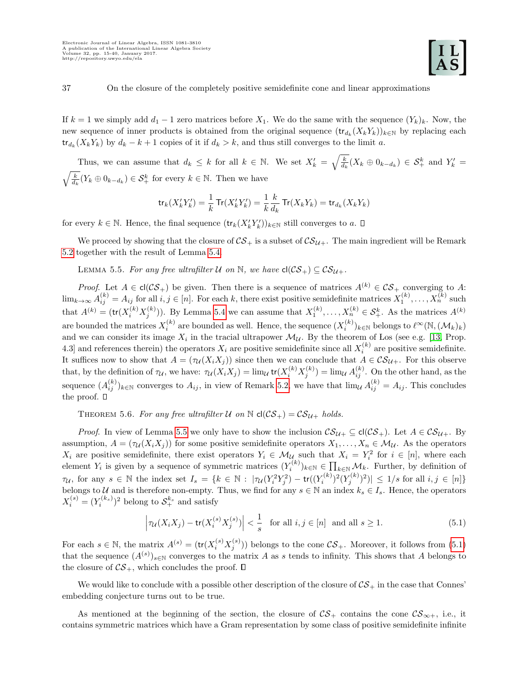If  $k = 1$  we simply add  $d_1 - 1$  zero matrices before  $X_1$ . We do the same with the sequence  $(Y_k)_k$ . Now, the new sequence of inner products is obtained from the original sequence  $(\text{tr}_{d_k}(X_k Y_k))_{k\in\mathbb{N}}$  by replacing each  $\mathsf{tr}_{d_k}(X_kY_k)$  by  $d_k - k + 1$  copies of it if  $d_k > k$ , and thus still converges to the limit a.

Thus, we can assume that  $d_k \leq k$  for all  $k \in \mathbb{N}$ . We set  $X'_k = \sqrt{\frac{k}{d_k}}(X_k \oplus 0_{k-d_k}) \in \mathcal{S}_+^k$  and  $Y'_k =$  $\sqrt{\frac{k}{d_k}}(Y_k \oplus 0_{k-d_k}) \in \mathcal{S}_{+}^k$  for every  $k \in \mathbb{N}$ . Then we have

$$
\mathop{\mathsf{tr}}\nolimits_k(X_k'Y_k') = \frac{1}{k}\mathop{\mathsf{Tr}}\nolimits(X_k'Y_k') = \frac{1}{k}\frac{k}{d_k}\mathop{\mathsf{Tr}}\nolimits(X_kY_k) = \mathop{\mathsf{tr}}\nolimits_{d_k}(X_kY_k)
$$

for every  $k \in \mathbb{N}$ . Hence, the final sequence  $(\text{tr}_k(X_k' Y_k'))_{k \in \mathbb{N}}$  still converges to a.

We proceed by showing that the closure of  $\mathcal{CS}_+$  is a subset of  $\mathcal{CS}_{\mathcal{U}+}$ . The main ingredient will be Remark [5.2](#page-20-4) together with the result of Lemma [5.4.](#page-22-1)

<span id="page-23-0"></span>LEMMA 5.5. For any free ultrafilter U on N, we have  $cl(CS_+) \subseteq C\mathcal{S}_{\mathcal{U}+}$ .

*Proof.* Let  $A \in cl(\mathcal{CS}_+)$  be given. Then there is a sequence of matrices  $A^{(k)} \in \mathcal{CS}_+$  converging to A:  $\lim_{k\to\infty} A_{ij}^{(k)} = A_{ij}$  for all  $i, j \in [n]$ . For each k, there exist positive semidefinite matrices  $X_1^{(k)}, \ldots, X_n^{(k)}$  such that  $A^{(k)} = (\text{tr}(X_i^{(k)} X_j^{(k)}))$ . By Lemma [5.4](#page-22-1) we can assume that  $X_1^{(k)}, \ldots, X_n^{(k)} \in \mathcal{S}_+^k$ . As the matrices  $A^{(k)}$ are bounded the matrices  $X_i^{(k)}$  are bounded as well. Hence, the sequence  $(X_i^{(k)})_{k\in\mathbb{N}}$  belongs to  $\ell^{\infty}(\mathbb{N}, (\mathcal{M}_k)_k)$ and we can consider its image  $X_i$  in the tracial ultrapower  $\mathcal{M}_{\mathcal{U}}$ . By the theorem of Los (see e.g. [\[13,](#page-25-22) Prop. 4.3] and references therein) the operators  $X_i$  are positive semidefinite since all  $X_i^{(k)}$  are positive semidefinite. It suffices now to show that  $A = (\tau_{\mathcal{U}}(X_i X_j))$  since then we can conclude that  $A \in \mathcal{CS}_{\mathcal{U}+}$ . For this observe that, by the definition of  $\tau_{\mathcal{U}}$ , we have:  $\tau_{\mathcal{U}}(X_i X_j) = \lim_{\mathcal{U}} tr(X_i^{(k)} X_j^{(k)}) = \lim_{\mathcal{U}} A_{ij}^{(k)}$ . On the other hand, as the sequence  $(A_{ij}^{(k)})_{k\in\mathbb{N}}$  converges to  $A_{ij}$ , in view of Remark [5.2,](#page-20-4) we have that  $\lim_{\mathcal{U}} A_{ij}^{(k)} = A_{ij}$ . This concludes the proof.  $\Box$ 

<span id="page-23-2"></span>THEOREM 5.6. For any free ultrafilter U on  $\mathbb N$  cl( $\mathcal{CS}_+$ ) =  $\mathcal{CS}_{\mathcal{U}+}$  holds.

*Proof.* In view of Lemma [5.5](#page-23-0) we only have to show the inclusion  $CS_{\mathcal{U}+} \subseteq cl(\mathcal{CS}_+)$ . Let  $A \in CS_{\mathcal{U}+}$ . By assumption,  $A = (\tau_{\mathcal{U}}(X_i X_j))$  for some positive semidefinite operators  $X_1, \ldots, X_n \in \mathcal{M}_{\mathcal{U}}$ . As the operators  $X_i$  are positive semidefinite, there exist operators  $Y_i \in \mathcal{M}_{\mathcal{U}_i}$  such that  $X_i = Y_i^2$  for  $i \in [n]$ , where each element  $Y_i$  is given by a sequence of symmetric matrices  $(Y_i^{(k)})_{k\in\mathbb{N}}\in\prod_{k\in\mathbb{N}}\mathcal{M}_k$ . Further, by definition of  $\tau_{\mathcal{U}}$ , for any  $s \in \mathbb{N}$  the index set  $I_s = \{k \in \mathbb{N} : |\tau_{\mathcal{U}}(Y_i^2 Y_j^2) - \text{tr}((Y_i^{(k)})^2 (Y_j^{(k)})^2)| \leq 1/s$  for all  $i, j \in [n]\}$ belongs to U and is therefore non-empty. Thus, we find for any  $s \in \mathbb{N}$  an index  $k_s \in I_s$ . Hence, the operators  $X_i^{(s)} = (Y_i^{(k_s)})^2$  belong to  $S_+^{k_s}$  and satisfy

<span id="page-23-1"></span>
$$
\left|\tau_{\mathcal{U}}(X_i X_j) - \text{tr}(X_i^{(s)} X_j^{(s)})\right| < \frac{1}{s} \quad \text{for all } i, j \in [n] \quad \text{and all } s \ge 1. \tag{5.1}
$$

For each  $s \in \mathbb{N}$ , the matrix  $A^{(s)} = (\text{tr}(X_i^{(s)} X_j^{(s)}))$  belongs to the cone  $\mathcal{CS}_+$ . Moreover, it follows from  $(5.1)$ that the sequence  $(A^{(s)})_{s\in\mathbb{N}}$  converges to the matrix A as s tends to infinity. This shows that A belongs to the closure of  $\mathcal{CS}_+$ , which concludes the proof.  $\square$ 

We would like to conclude with a possible other description of the closure of  $\mathcal{CS}_+$  in the case that Connes' embedding conjecture turns out to be true.

As mentioned at the beginning of the section, the closure of  $\mathcal{CS}_+$  contains the cone  $\mathcal{CS}_{\infty+}$ , i.e., it contains symmetric matrices which have a Gram representation by some class of positive semidefinite infinite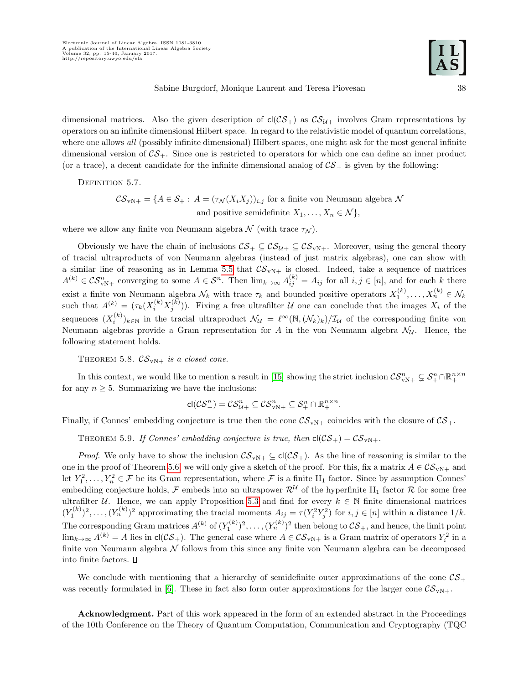dimensional matrices. Also the given description of  $cl(\mathcal{CS}_+)$  as  $\mathcal{CS}_{\mathcal{U}+}$  involves Gram representations by operators on an infinite dimensional Hilbert space. In regard to the relativistic model of quantum correlations, where one allows all (possibly infinite dimensional) Hilbert spaces, one might ask for the most general infinite dimensional version of  $\mathcal{CS}_+$ . Since one is restricted to operators for which one can define an inner product (or a trace), a decent candidate for the infinite dimensional analog of  $CS_+$  is given by the following:

DEFINITION 5.7.

 $\mathcal{CS}_{vN+} = \{A \in \mathcal{S}_+ : A = (\tau_{\mathcal{N}}(X_i X_j))_{i,j} \text{ for a finite von Neumann algebra } \mathcal{N} \}$ and positive semidefinite  $X_1, \ldots, X_n \in \mathcal{N}$ ,

where we allow any finite von Neumann algebra  $\mathcal N$  (with trace  $\tau_{\mathcal N}$ ).

Obviously we have the chain of inclusions  $CS_+ \subseteq \mathcal{CS}_{\mathcal{U}+} \subseteq \mathcal{CS}_{\mathcal{V}+}$ . Moreover, using the general theory of tracial ultraproducts of von Neumann algebras (instead of just matrix algebras), one can show with a similar line of reasoning as in Lemma [5.5](#page-23-0) that  $\mathcal{CS}_{vN+}$  is closed. Indeed, take a sequence of matrices  $A^{(k)} \in \mathcal{CS}_{vN+}^n$  converging to some  $A \in \mathcal{S}^n$ . Then  $\lim_{k \to \infty} A_{ij}^{(k)} = A_{ij}$  for all  $i, j \in [n]$ , and for each k there exist a finite von Neumann algebra  $\mathcal{N}_k$  with trace  $\tau_k$  and bounded positive operators  $X_1^{(k)}, \ldots, X_n^{(k)} \in \mathcal{N}_k$ such that  $A^{(k)} = (\tau_k(X_i^{(k)} X_j^{(k)}))$ . Fixing a free ultrafilter U one can conclude that the images  $X_i$  of the sequences  $(X_i^{(k)})_{k\in\mathbb{N}}$  in the tracial ultraproduct  $\mathcal{N}_{\mathcal{U}} = \ell^{\infty}(\mathbb{N},(\mathcal{N}_k)_k)/\mathcal{I}_{\mathcal{U}}$  of the corresponding finite von Neumann algebras provide a Gram representation for A in the von Neumann algebra  $\mathcal{N}_{\mathcal{U}}$ . Hence, the following statement holds.

THEOREM 5.8.  $\mathcal{CS}_{vN+}$  is a closed cone.

In this context, we would like to mention a result in [\[15\]](#page-25-13) showing the strict inclusion  $\mathcal{CS}_{vN+}^n \subsetneq \mathcal{S}_+^n \cap \mathbb{R}_+^{n \times n}$ for any  $n \geq 5$ . Summarizing we have the inclusions:

$$
\mathsf{cl}(\mathcal{CS}_+^n)=\mathcal{CS}_{\mathcal{U}+}^n\subseteq\mathcal{CS}_{\mathrm{vN}+}^n\subseteq\mathcal{S}_+^n\cap\mathbb{R}_+^{n\times n}.
$$

Finally, if Connes' embedding conjecture is true then the cone  $\mathcal{CS}_{vN+}$  coincides with the closure of  $\mathcal{CS}_{+}$ .

THEOREM 5.9. If Connes' embedding conjecture is true, then  $cl(CS_+) = CS_{vN+}$ .

*Proof.* We only have to show the inclusion  $CS_{vN+} \subseteq cl(CS_+)$ . As the line of reasoning is similar to the one in the proof of Theorem [5.6,](#page-23-2) we will only give a sketch of the proof. For this, fix a matrix  $A \in \mathcal{CS}_{vN+}$  and let  $Y_1^2, \ldots, Y_n^2 \in \mathcal{F}$  be its Gram representation, where  $\mathcal{F}$  is a finite II<sub>1</sub> factor. Since by assumption Connes' embedding conjecture holds, F embeds into an ultrapower  $\mathcal{R}^{\mathcal{U}}$  of the hyperfinite II<sub>1</sub> factor R for some free ultrafilter U. Hence, we can apply Proposition [5.3](#page-22-2) and find for every  $k \in \mathbb{N}$  finite dimensional matrices  $(Y_1^{(k)})^2, \ldots, (Y_n^{(k)})^2$  approximating the tracial moments  $A_{ij} = \tau(Y_i^2 Y_j^2)$  for  $i, j \in [n]$  within a distance  $1/k$ . The corresponding Gram matrices  $A^{(k)}$  of  $(Y_1^{(k)})^2, \ldots, (Y_n^{(k)})^2$  then belong to  $\mathcal{CS}_+$ , and hence, the limit point  $\lim_{k\to\infty} A^{(k)} = A$  lies in  $cl(\mathcal{CS}_+)$ . The general case where  $A \in \mathcal{CS}_{vN+}$  is a Gram matrix of operators  $Y_i^2$  in a finite von Neumann algebra  $\mathcal N$  follows from this since any finite von Neumann algebra can be decomposed into finite factors.

We conclude with mentioning that a hierarchy of semidefinite outer approximations of the cone  $\mathcal{CS}_+$ was recently formulated in [\[6\]](#page-25-23). These in fact also form outer approximations for the larger cone  $\mathcal{CS}_{vN+}$ .

Acknowledgment. Part of this work appeared in the form of an extended abstract in the Proceedings of the 10th Conference on the Theory of Quantum Computation, Communication and Cryptography (TQC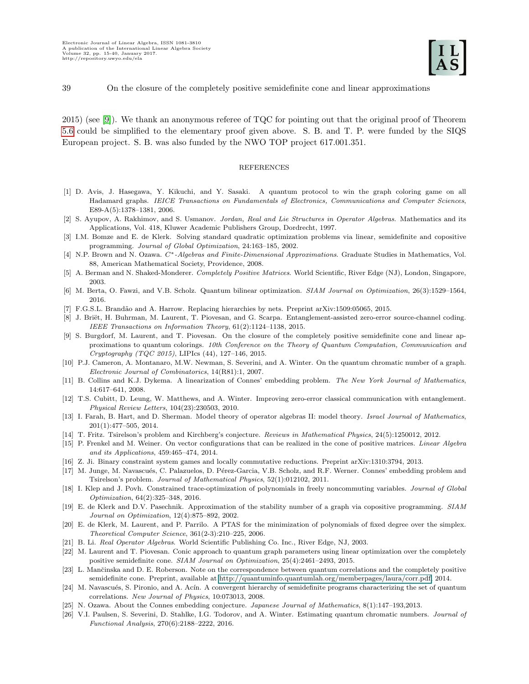2015) (see [\[9\]](#page-25-24)). We thank an anonymous referee of TQC for pointing out that the original proof of Theorem [5.6](#page-23-2) could be simplified to the elementary proof given above. S. B. and T. P. were funded by the SIQS European project. S. B. was also funded by the NWO TOP project 617.001.351.

### REFERENCES

- <span id="page-25-0"></span>[1] D. Avis, J. Hasegawa, Y. Kikuchi, and Y. Sasaki. A quantum protocol to win the graph coloring game on all Hadamard graphs. IEICE Transactions on Fundamentals of Electronics, Communications and Computer Sciences, E89-A(5):1378–1381, 2006.
- <span id="page-25-19"></span>[2] S. Ayupov, A. Rakhimov, and S. Usmanov. Jordan, Real and Lie Structures in Operator Algebras. Mathematics and its Applications, Vol. 418, Kluwer Academic Publishers Group, Dordrecht, 1997.
- <span id="page-25-6"></span>[3] I.M. Bomze and E. de Klerk. Solving standard quadratic optimization problems via linear, semidefinite and copositive programming. Journal of Global Optimization, 24:163–185, 2002.
- <span id="page-25-18"></span>[4] N.P. Brown and N. Ozawa. C<sup>∗</sup>-Algebras and Finite-Dimensional Approximations. Graduate Studies in Mathematics, Vol. 88, American Mathematical Society, Providence, 2008.
- <span id="page-25-14"></span>[5] A. Berman and N. Shaked-Monderer. Completely Positive Matrices. World Scientific, River Edge (NJ), London, Singapore, 2003.
- <span id="page-25-23"></span>[6] M. Berta, O. Fawzi, and V.B. Scholz. Quantum bilinear optimization. SIAM Journal on Optimization, 26(3):1529–1564, 2016.
- <span id="page-25-8"></span>[7] F.G.S.L. Brand˜ao and A. Harrow. Replacing hierarchies by nets. Preprint arXiv:1509:05065, 2015.
- <span id="page-25-16"></span>[8] J. Briët, H. Buhrman, M. Laurent, T. Piovesan, and G. Scarpa. Entanglement-assisted zero-error source-channel coding. IEEE Transactions on Information Theory, 61(2):1124–1138, 2015.
- <span id="page-25-24"></span>[9] S. Burgdorf, M. Laurent, and T. Piovesan. On the closure of the completely positive semidefinite cone and linear approximations to quantum colorings. 10th Conference on the Theory of Quantum Computation, Communication and Cryptography (TQC 2015), LIPIcs (44), 127–146, 2015.
- <span id="page-25-1"></span>[10] P.J. Cameron, A. Montanaro, M.W. Newman, S. Severini, and A. Winter. On the quantum chromatic number of a graph. Electronic Journal of Combinatorics, 14(R81):1, 2007.
- <span id="page-25-21"></span>[11] B. Collins and K.J. Dykema. A linearization of Connes' embedding problem. The New York Journal of Mathematics, 14:617–641, 2008.
- <span id="page-25-17"></span>[12] T.S. Cubitt, D. Leung, W. Matthews, and A. Winter. Improving zero-error classical communication with entanglement. Physical Review Letters, 104(23):230503, 2010.
- <span id="page-25-22"></span>[13] I. Farah, B. Hart, and D. Sherman. Model theory of operator algebras II: model theory. Israel Journal of Mathematics, 201(1):477–505, 2014.
- <span id="page-25-9"></span>[14] T. Fritz. Tsirelson's problem and Kirchberg's conjecture. Reviews in Mathematical Physics, 24(5):1250012, 2012.
- <span id="page-25-13"></span>[15] P. Frenkel and M. Weiner. On vector configurations that can be realized in the cone of positive matrices. Linear Algebra and its Applications, 459:465–474, 2014.
- <span id="page-25-2"></span>[16] Z. Ji. Binary constraint system games and locally commutative reductions. Preprint arXiv:1310:3794, 2013.
- <span id="page-25-11"></span>[17] M. Junge, M. Navascués, C. Palazuelos, D. Pérez-Garcia, V.B. Scholz, and R.F. Werner. Connes' embedding problem and Tsirelson's problem. Journal of Mathematical Physics, 52(1):012102, 2011.
- [18] I. Klep and J. Povh. Constrained trace-optimization of polynomials in freely noncommuting variables. Journal of Global Optimization, 64(2):325–348, 2016.
- <span id="page-25-15"></span>[19] E. de Klerk and D.V. Pasechnik. Approximation of the stability number of a graph via copositive programming. SIAM Journal on Optimization, 12(4):875–892, 2002.
- <span id="page-25-7"></span>[20] E. de Klerk, M. Laurent, and P. Parrilo. A PTAS for the minimization of polynomials of fixed degree over the simplex. Theoretical Computer Science, 361(2-3):210–225, 2006.
- <span id="page-25-20"></span>[21] B. Li. Real Operator Algebras. World Scientific Publishing Co. Inc., River Edge, NJ, 2003.
- <span id="page-25-3"></span>[22] M. Laurent and T. Piovesan. Conic approach to quantum graph parameters using linear optimization over the completely positive semidefinite cone. SIAM Journal on Optimization, 25(4):2461–2493, 2015.
- <span id="page-25-5"></span>[23] L. Mančinska and D. E. Roberson. Note on the correspondence between quantum correlations and the completely positive semidefinite cone. Preprint, available at [http://quantuminfo.quantumlah.org/memberpages/laura/corr.pdf,](#page-0-0) 2014.
- <span id="page-25-12"></span>[24] M. Navascués, S. Pironio, and A. Acín. A convergent hierarchy of semidefinite programs characterizing the set of quantum correlations. New Journal of Physics, 10:073013, 2008.
- <span id="page-25-10"></span>[25] N. Ozawa. About the Connes embedding conjecture. Japanese Journal of Mathematics, 8(1):147–193,2013.
- <span id="page-25-4"></span>[26] V.I. Paulsen, S. Severini, D. Stahlke, I.G. Todorov, and A. Winter. Estimating quantum chromatic numbers. Journal of Functional Analysis, 270(6):2188–2222, 2016.